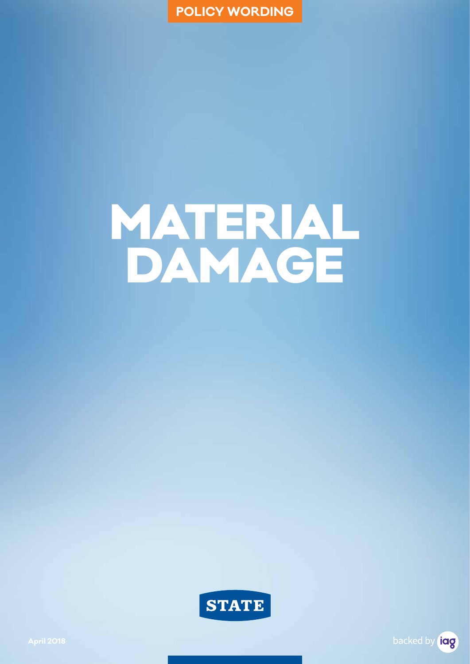**POLICY WORDING**

# MATERIAL DAMAGE



backed by **iag**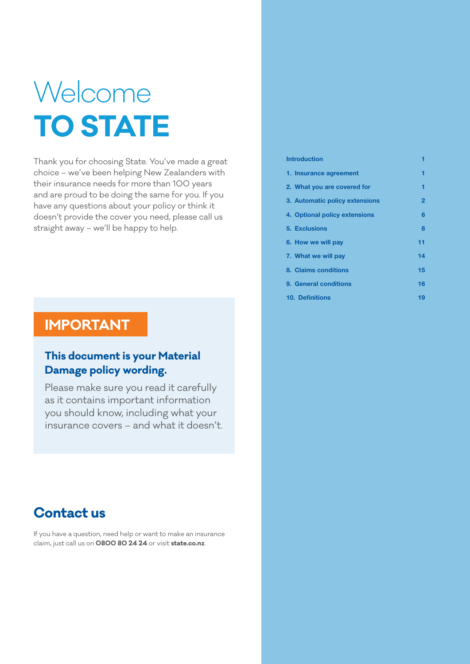# Welcome **TO STATE**

Thank you for choosing State. You've made a great choice – we've been helping New Zealanders with their insurance needs for more than 100 years and are proud to be doing the same for you. If you have any questions about your policy or think it doesn't provide the cover you need, please call us straight away – we'll be happy to help.

### **IMPORTANT**

### **This document is your Material Damage policy wording.**

Please make sure you read it carefully as it contains important information you should know, including what your insurance covers – and what it doesn't.

### **Contact us**

If you have a question, need help or want to make an insurance claim, just call us on **0800 80 24 24** or visit **state.co.nz**.

| <b>Introduction</b>            |    |
|--------------------------------|----|
| 1. Insurance agreement         |    |
| 2. What you are covered for    | ٦  |
| 3. Automatic policy extensions | 2  |
| 4. Optional policy extensions  | 6  |
| <b>5. Exclusions</b>           | ឧ  |
| 6. How we will pay             | 11 |
| 7. What we will pay            | 14 |
| 8. Claims conditions           | 15 |
| 9. General conditions          | 16 |
| 10. Definitions                | 19 |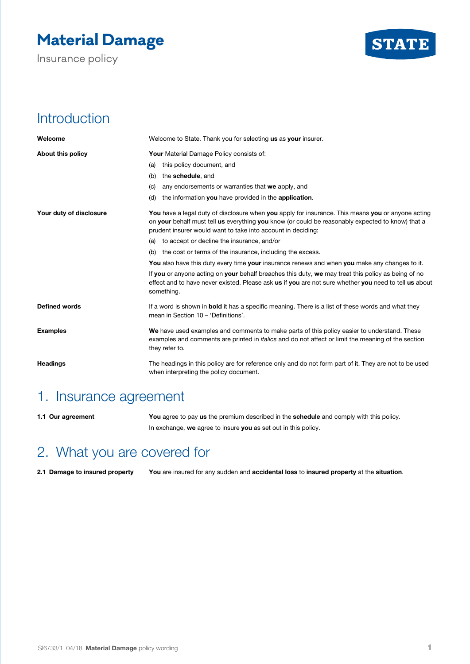# **Material Damage**

Insurance policy



## **Introduction**

| Welcome                 | Welcome to State. Thank you for selecting us as your insurer.                                                                                                                                                                                                                |
|-------------------------|------------------------------------------------------------------------------------------------------------------------------------------------------------------------------------------------------------------------------------------------------------------------------|
| About this policy       | <b>Your Material Damage Policy consists of:</b>                                                                                                                                                                                                                              |
|                         | this policy document, and<br>(a)                                                                                                                                                                                                                                             |
|                         | the schedule, and<br>(b)                                                                                                                                                                                                                                                     |
|                         | any endorsements or warranties that we apply, and<br>(C)                                                                                                                                                                                                                     |
|                         | the information you have provided in the application.<br>(d)                                                                                                                                                                                                                 |
| Your duty of disclosure | <b>You</b> have a legal duty of disclosure when you apply for insurance. This means you or anyone acting<br>on your behalf must tell us everything you know (or could be reasonably expected to know) that a<br>prudent insurer would want to take into account in deciding: |
|                         | (a) to accept or decline the insurance, and/or                                                                                                                                                                                                                               |
|                         | (b) the cost or terms of the insurance, including the excess.                                                                                                                                                                                                                |
|                         | You also have this duty every time your insurance renews and when you make any changes to it.                                                                                                                                                                                |
|                         | If you or anyone acting on your behalf breaches this duty, we may treat this policy as being of no<br>effect and to have never existed. Please ask us if you are not sure whether you need to tell us about<br>something.                                                    |
| <b>Defined words</b>    | If a word is shown in <b>bold</b> it has a specific meaning. There is a list of these words and what they<br>mean in Section 10 - 'Definitions'.                                                                                                                             |
| <b>Examples</b>         | We have used examples and comments to make parts of this policy easier to understand. These<br>examples and comments are printed in <i>italics</i> and do not affect or limit the meaning of the section<br>they refer to.                                                   |
| <b>Headings</b>         | The headings in this policy are for reference only and do not form part of it. They are not to be used<br>when interpreting the policy document.                                                                                                                             |

### 1. Insurance agreement

**1.1 Our agreement You** agree to pay **us** the premium described in the **schedule** and comply with this policy. In exchange, **we** agree to insure **you** as set out in this policy.

# 2. What you are covered for

**2.1 Damage to insured property You** are insured for any sudden and **accidental loss** to **insured property** at the **situation**.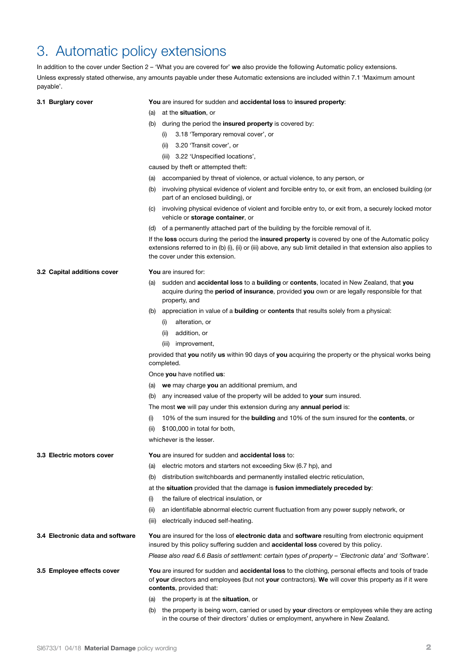### 3. Automatic policy extensions

In addition to the cover under Section 2 – 'What you are covered for' **we** also provide the following Automatic policy extensions. Unless expressly stated otherwise, any amounts payable under these Automatic extensions are included within 7.1 'Maximum amount payable'.

### **3.1 Burglary cover You** are insured for sudden and **accidental loss** to **insured property**:

- (a) at the **situation**, or
- (b) during the period the **insured property** is covered by:
	- (i) 3.18 'Temporary removal cover', or
	- (ii) 3.20 'Transit cover', or
	- (iii) 3.22 'Unspecified locations',

caused by theft or attempted theft:

- (a) accompanied by threat of violence, or actual violence, to any person, or
- (b) involving physical evidence of violent and forcible entry to, or exit from, an enclosed building (or part of an enclosed building), or
- (c) involving physical evidence of violent and forcible entry to, or exit from, a securely locked motor vehicle or **storage container**, or
- (d) of a permanently attached part of the building by the forcible removal of it.

If the **loss** occurs during the period the **insured property** is covered by one of the Automatic policy extensions referred to in (b) (i), (ii) or (iii) above, any sub limit detailed in that extension also applies to the cover under this extension.

| 3.2 Capital additions cover      | You are insured for:                                                                                                                                                                                                                     |
|----------------------------------|------------------------------------------------------------------------------------------------------------------------------------------------------------------------------------------------------------------------------------------|
|                                  | sudden and accidental loss to a building or contents, located in New Zealand, that you<br>(a)<br>acquire during the period of insurance, provided you own or are legally responsible for that<br>property, and                           |
|                                  | (b) appreciation in value of a <b>building</b> or <b>contents</b> that results solely from a physical:                                                                                                                                   |
|                                  | alteration, or<br>(i)                                                                                                                                                                                                                    |
|                                  | addition, or<br>(ii)                                                                                                                                                                                                                     |
|                                  | (iii)<br>improvement,                                                                                                                                                                                                                    |
|                                  | provided that you notify us within 90 days of you acquiring the property or the physical works being<br>completed.                                                                                                                       |
|                                  | Once you have notified us:                                                                                                                                                                                                               |
|                                  | (a) we may charge you an additional premium, and                                                                                                                                                                                         |
|                                  | any increased value of the property will be added to your sum insured.<br>(b)                                                                                                                                                            |
|                                  | The most we will pay under this extension during any <b>annual period</b> is:                                                                                                                                                            |
|                                  | 10% of the sum insured for the <b>building</b> and 10% of the sum insured for the <b>contents</b> , or<br>(i)                                                                                                                            |
|                                  | \$100,000 in total for both,<br>(ii)                                                                                                                                                                                                     |
|                                  | whichever is the lesser.                                                                                                                                                                                                                 |
| 3.3 Electric motors cover        | You are insured for sudden and accidental loss to:                                                                                                                                                                                       |
|                                  | electric motors and starters not exceeding 5kw (6.7 hp), and<br>(a)                                                                                                                                                                      |
|                                  | distribution switchboards and permanently installed electric reticulation,<br>(b)                                                                                                                                                        |
|                                  | at the situation provided that the damage is fusion immediately preceded by:                                                                                                                                                             |
|                                  | the failure of electrical insulation, or<br>(i)                                                                                                                                                                                          |
|                                  | an identifiable abnormal electric current fluctuation from any power supply network, or<br>(ii)                                                                                                                                          |
|                                  | electrically induced self-heating.<br>(iii)                                                                                                                                                                                              |
| 3.4 Electronic data and software | You are insured for the loss of electronic data and software resulting from electronic equipment<br>insured by this policy suffering sudden and <b>accidental loss</b> covered by this policy.                                           |
|                                  | Please also read 6.6 Basis of settlement: certain types of property - 'Electronic data' and 'Software'.                                                                                                                                  |
| 3.5 Employee effects cover       | You are insured for sudden and accidental loss to the clothing, personal effects and tools of trade<br>of your directors and employees (but not your contractors). We will cover this property as if it were<br>contents, provided that: |
|                                  | (a) the property is at the <b>situation</b> , or                                                                                                                                                                                         |
|                                  | (b) the property is being worn, carried or used by your directors or employees while they are acting                                                                                                                                     |

in the course of their directors' duties or employment, anywhere in New Zealand.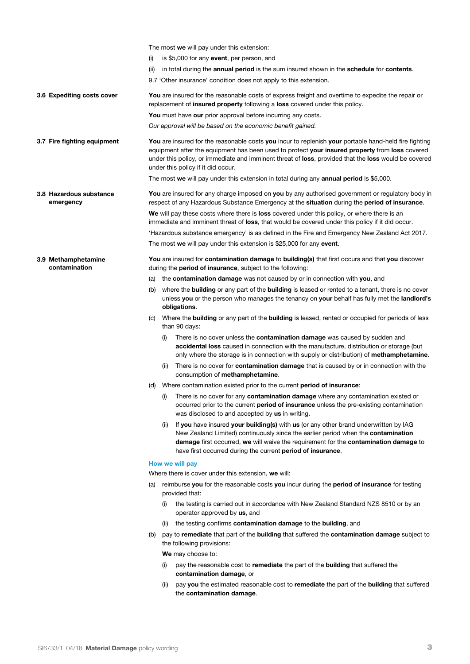The most **we** will pay under this extension: (i) is \$5,000 for any **event**, per person, and (ii) in total during the **annual period** is the sum insured shown in the **schedule** for **contents**. 9.7 'Other insurance' condition does not apply to this extension. **3.6 Expediting costs cover You** are insured for the reasonable costs of express freight and overtime to expedite the repair or replacement of **insured property** following a **loss** covered under this policy. **You** must have **our** prior approval before incurring any costs. *Our approval will be based on the economic benefit gained.* **3.7 Fire fighting equipment You** are insured for the reasonable costs **you** incur to replenish **your** portable hand-held fire fighting equipment after the equipment has been used to protect **your insured property** from **loss** covered under this policy, or immediate and imminent threat of **loss**, provided that the **loss** would be covered under this policy if it did occur. The most **we** will pay under this extension in total during any **annual period** is \$5,000. **3.8 Hazardous substance emergency You** are insured for any charge imposed on **you** by any authorised government or regulatory body in respect of any Hazardous Substance Emergency at the **situation** during the **period of insurance**. **We** will pay these costs where there is **loss** covered under this policy, or where there is an immediate and imminent threat of **loss**, that would be covered under this policy if it did occur. 'Hazardous substance emergency' is as defined in the Fire and Emergency New Zealand Act 2017. The most **we** will pay under this extension is \$25,000 for any **event**. **3.9 Methamphetamine contamination You** are insured for **contamination damage** to **building(s)** that first occurs and that **you** discover during the **period of insurance**, subject to the following: (a) the **contamination damage** was not caused by or in connection with **you**, and (b) where the **building** or any part of the **building** is leased or rented to a tenant, there is no cover unless **you** or the person who manages the tenancy on **your** behalf has fully met the **landlord's obligations**. (c) Where the **building** or any part of the **building** is leased, rented or occupied for periods of less than 90 days: There is no cover unless the **contamination damage** was caused by sudden and **accidental loss** caused in connection with the manufacture, distribution or storage (but only where the storage is in connection with supply or distribution) of **methamphetamine**. (ii) There is no cover for **contamination damage** that is caused by or in connection with the consumption of **methamphetamine**. (d) Where contamination existed prior to the current **period of insurance**: (i) There is no cover for any **contamination damage** where any contamination existed or occurred prior to the current **period of insurance** unless the pre-existing contamination was disclosed to and accepted by **us** in writing. (ii) If **you** have insured **your building(s)** with **us** (or any other brand underwritten by IAG New Zealand Limited) continuously since the earlier period when the **contamination damage** first occurred, **we** will waive the requirement for the **contamination damage** to have first occurred during the current **period of insurance**. **How we will pay** Where there is cover under this extension, **we** will: (a) reimburse **you** for the reasonable costs **you** incur during the **period of insurance** for testing provided that: (i) the testing is carried out in accordance with New Zealand Standard NZS 8510 or by an operator approved by **us**, and (ii) the testing confirms **contamination damage** to the **building**, and (b) pay to **remediate** that part of the **building** that suffered the **contamination damage** subject to the following provisions: **We** may choose to: (i) pay the reasonable cost to **remediate** the part of the **building** that suffered the **contamination damage**, or

> (ii) pay **you** the estimated reasonable cost to **remediate** the part of the **building** that suffered the **contamination damage**.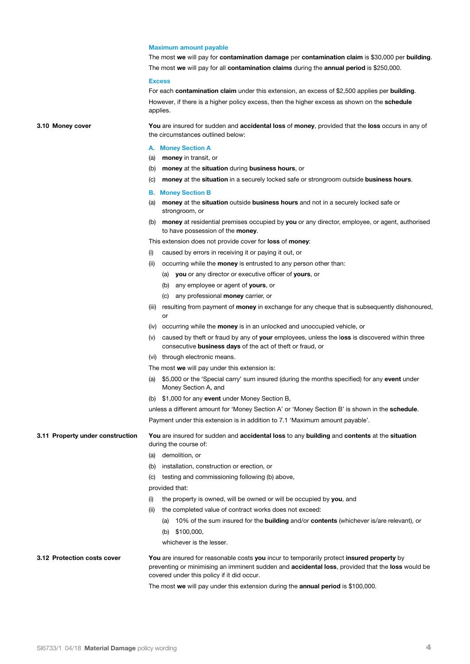### **Maximum amount payable**

The most **we** will pay for **contamination damage** per **contamination claim** is \$30,000 per **building**. The most **we** will pay for all **contamination claims** during the **annual period** is \$250,000.

#### **Excess**

For each **contamination claim** under this extension, an excess of \$2,500 applies per **building**. However, if there is a higher policy excess, then the higher excess as shown on the **schedule** applies.

**3.10 Money cover You** are insured for sudden and **accidental loss** of **money**, provided that the **loss** occurs in any of the circumstances outlined below:

### **A. Money Section A**

- (a) **money** in transit, or
- (b) **money** at the **situation** during **business hours**, or
- (c) **money** at the **situation** in a securely locked safe or strongroom outside **business hours**.

### **B. Money Section B**

- (a) **money** at the **situation** outside **business hours** and not in a securely locked safe or strongroom, or
- (b) **money** at residential premises occupied by **you** or any director, employee, or agent, authorised to have possession of the **money**.

This extension does not provide cover for **loss** of **money**:

- (i) caused by errors in receiving it or paying it out, or
- (ii) occurring while the **money** is entrusted to any person other than:
	- (a) **you** or any director or executive officer of **yours**, or
	- (b) any employee or agent of **yours**, or
	- (c) any professional **money** carrier, or
- (iii) resulting from payment of **money** in exchange for any cheque that is subsequently dishonoured, or
- (iv) occurring while the **money** is in an unlocked and unoccupied vehicle, or
- (v) caused by theft or fraud by any of **your** employees, unless the l**oss** is discovered within three consecutive **business days** of the act of theft or fraud, or
- (vi) through electronic means.

The most **we** will pay under this extension is:

- (a) \$5,000 or the 'Special carry' sum insured (during the months specified) for any **event** under Money Section A, and
- (b) \$1,000 for any **event** under Money Section B,

unless a different amount for 'Money Section A' or 'Money Section B' is shown in the **schedule**. Payment under this extension is in addition to 7.1 'Maximum amount payable'.

**3.11 Property under construction You** are insured for sudden and **accidental loss** to any **building** and **contents** at the **situation**  during the course of:

- (a) demolition, or
- (b) installation, construction or erection, or
- (c) testing and commissioning following (b) above,

provided that:

- (i) the property is owned, will be owned or will be occupied by **you**, and
- (ii) the completed value of contract works does not exceed:
	- (a) 10% of the sum insured for the **building** and/or **contents** (whichever is/are relevant), or
	- (b) \$100,000,

whichever is the lesser.

### **3.12 Protection costs cover You** are insured for reasonable costs **you** incur to temporarily protect **insured property** by preventing or minimising an imminent sudden and **accidental loss**, provided that the **loss** would be covered under this policy if it did occur.

The most **we** will pay under this extension during the **annual period** is \$100,000.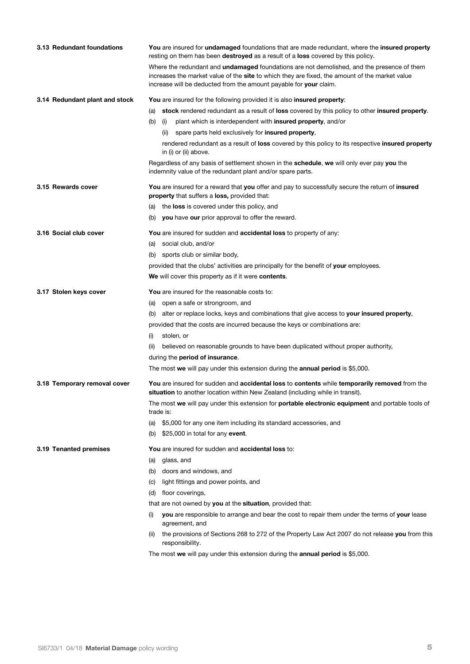| 3.13 Redundant foundations     | You are insured for undamaged foundations that are made redundant, where the insured property<br>resting on them has been destroyed as a result of a loss covered by this policy.                                                                                        |
|--------------------------------|--------------------------------------------------------------------------------------------------------------------------------------------------------------------------------------------------------------------------------------------------------------------------|
|                                | Where the redundant and <b>undamaged</b> foundations are not demolished, and the presence of them<br>increases the market value of the site to which they are fixed, the amount of the market value<br>increase will be deducted from the amount payable for your claim. |
| 3.14 Redundant plant and stock | You are insured for the following provided it is also insured property:                                                                                                                                                                                                  |
|                                | stock rendered redundant as a result of loss covered by this policy to other insured property.<br>(a)                                                                                                                                                                    |
|                                | plant which is interdependent with insured property, and/or<br>(b)<br>(i)                                                                                                                                                                                                |
|                                | spare parts held exclusively for insured property,<br>(ii)                                                                                                                                                                                                               |
|                                | rendered redundant as a result of loss covered by this policy to its respective insured property<br>in (i) or (ii) above.                                                                                                                                                |
|                                | Regardless of any basis of settlement shown in the schedule, we will only ever pay you the<br>indemnity value of the redundant plant and/or spare parts.                                                                                                                 |
| 3.15 Rewards cover             | You are insured for a reward that you offer and pay to successfully secure the return of insured<br>property that suffers a loss, provided that:                                                                                                                         |
|                                | the loss is covered under this policy, and<br>(a)                                                                                                                                                                                                                        |
|                                | (b) you have our prior approval to offer the reward.                                                                                                                                                                                                                     |
| 3.16 Social club cover         | You are insured for sudden and accidental loss to property of any:                                                                                                                                                                                                       |
|                                | social club, and/or<br>(a)                                                                                                                                                                                                                                               |
|                                | sports club or similar body,<br>(b)                                                                                                                                                                                                                                      |
|                                | provided that the clubs' activities are principally for the benefit of your employees.                                                                                                                                                                                   |
|                                | We will cover this property as if it were contents.                                                                                                                                                                                                                      |
| 3.17 Stolen keys cover         | <b>You</b> are insured for the reasonable costs to:                                                                                                                                                                                                                      |
|                                | open a safe or strongroom, and<br>(a)                                                                                                                                                                                                                                    |
|                                | alter or replace locks, keys and combinations that give access to your insured property,<br>(b)                                                                                                                                                                          |
|                                | provided that the costs are incurred because the keys or combinations are:                                                                                                                                                                                               |
|                                | stolen, or<br>(i)                                                                                                                                                                                                                                                        |
|                                | believed on reasonable grounds to have been duplicated without proper authority,<br>(ii)                                                                                                                                                                                 |
|                                | during the <b>period of insurance</b> .                                                                                                                                                                                                                                  |
|                                | The most we will pay under this extension during the <b>annual period</b> is \$5,000.                                                                                                                                                                                    |
| 3.18 Temporary removal cover   | You are insured for sudden and accidental loss to contents while temporarily removed from the<br>situation to another location within New Zealand (including while in transit).                                                                                          |
|                                | The most we will pay under this extension for portable electronic equipment and portable tools of<br>trade is:                                                                                                                                                           |
|                                | \$5,000 for any one item including its standard accessories, and<br>(a)                                                                                                                                                                                                  |
|                                | \$25,000 in total for any event.<br>(b)                                                                                                                                                                                                                                  |
| 3.19 Tenanted premises         | You are insured for sudden and accidental loss to:                                                                                                                                                                                                                       |
|                                | glass, and<br>(a)                                                                                                                                                                                                                                                        |
|                                | doors and windows, and<br>(b)                                                                                                                                                                                                                                            |
|                                | light fittings and power points, and<br>(C)                                                                                                                                                                                                                              |
|                                | floor coverings,<br>(d)                                                                                                                                                                                                                                                  |
|                                | that are not owned by you at the situation, provided that:                                                                                                                                                                                                               |
|                                | you are responsible to arrange and bear the cost to repair them under the terms of your lease<br>(i)<br>agreement, and                                                                                                                                                   |
|                                | the provisions of Sections 268 to 272 of the Property Law Act 2007 do not release you from this<br>(II)<br>responsibility.                                                                                                                                               |
|                                | The most we will pay under this extension during the annual period is \$5,000.                                                                                                                                                                                           |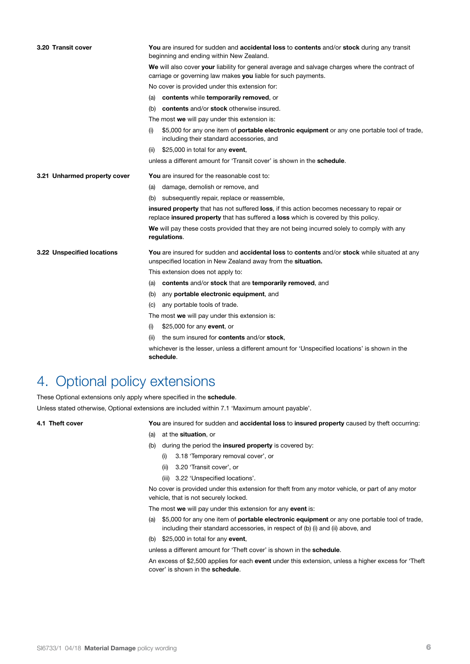| 3.20 Transit cover           | You are insured for sudden and accidental loss to contents and/or stock during any transit<br>beginning and ending within New Zealand.                                           |
|------------------------------|----------------------------------------------------------------------------------------------------------------------------------------------------------------------------------|
|                              | We will also cover your liability for general average and salvage charges where the contract of<br>carriage or governing law makes you liable for such payments.                 |
|                              | No cover is provided under this extension for:                                                                                                                                   |
|                              | contents while temporarily removed, or<br>(a)                                                                                                                                    |
|                              | contents and/or stock otherwise insured.<br>(b)                                                                                                                                  |
|                              | The most we will pay under this extension is:                                                                                                                                    |
|                              | \$5,000 for any one item of <b>portable electronic equipment</b> or any one portable tool of trade,<br>(i)<br>including their standard accessories, and                          |
|                              | \$25,000 in total for any event,<br>(ii)                                                                                                                                         |
|                              | unless a different amount for 'Transit cover' is shown in the <b>schedule</b> .                                                                                                  |
| 3.21 Unharmed property cover | <b>You</b> are insured for the reasonable cost to:                                                                                                                               |
|                              | damage, demolish or remove, and<br>(a)                                                                                                                                           |
|                              | subsequently repair, replace or reassemble,<br>(b)                                                                                                                               |
|                              | insured property that has not suffered loss, if this action becomes necessary to repair or<br>replace insured property that has suffered a loss which is covered by this policy. |
|                              | We will pay these costs provided that they are not being incurred solely to comply with any<br>regulations.                                                                      |
| 3.22 Unspecified locations   | You are insured for sudden and accidental loss to contents and/or stock while situated at any<br>unspecified location in New Zealand away from the situation.                    |
|                              | This extension does not apply to:                                                                                                                                                |
|                              | contents and/or stock that are temporarily removed, and<br>(a)                                                                                                                   |
|                              | any portable electronic equipment, and<br>(b)                                                                                                                                    |
|                              | any portable tools of trade.<br>(c)                                                                                                                                              |
|                              | The most we will pay under this extension is:                                                                                                                                    |
|                              | \$25,000 for any event, or<br>(i)                                                                                                                                                |
|                              | the sum insured for <b>contents</b> and/or <b>stock</b> ,<br>(ii)                                                                                                                |
|                              | whichever is the lesser, unless a different amount for 'Unspecified locations' is shown in the<br>schedule.                                                                      |

## 4. Optional policy extensions

These Optional extensions only apply where specified in the **schedule**.

Unless stated otherwise, Optional extensions are included within 7.1 'Maximum amount payable'.

**4.1 Theft cover You** are insured for sudden and **accidental loss** to **insured property** caused by theft occurring:

- (a) at the **situation**, or
- (b) during the period the **insured property** is covered by:
	- (i) 3.18 'Temporary removal cover', or
	- (ii) 3.20 'Transit cover', or
	- (iii) 3.22 'Unspecified locations'.

No cover is provided under this extension for theft from any motor vehicle, or part of any motor vehicle, that is not securely locked.

The most **we** will pay under this extension for any **event** is:

(a) \$5,000 for any one item of **portable electronic equipment** or any one portable tool of trade, including their standard accessories, in respect of (b) (i) and (ii) above, and

(b) \$25,000 in total for any **event**,

unless a different amount for 'Theft cover' is shown in the **schedule**.

An excess of \$2,500 applies for each **event** under this extension, unless a higher excess for 'Theft cover' is shown in the **schedule**.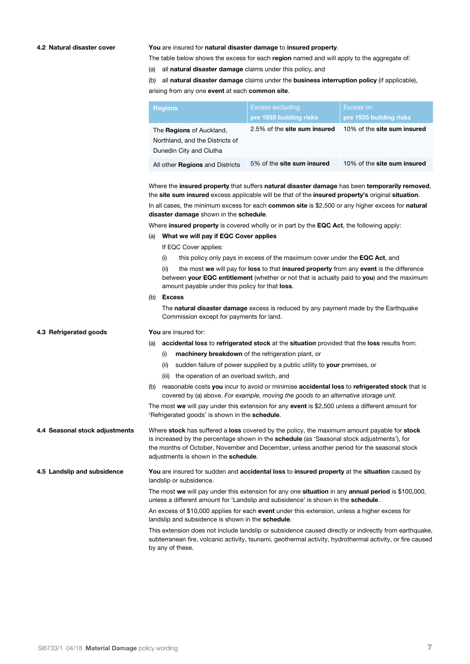### **4.2 Natural disaster cover You** are insured for **natural disaster damage** to **insured property**.

The table below shows the excess for each **region** named and will apply to the aggregate of:

(a) all **natural disaster damage** claims under this policy, and

(b) all **natural disaster damage** claims under the **business interruption policy** (if applicable),

arising from any one **event** at each **common site**.

| <b>Regions</b>                                                                                | <b>Excess excluding</b><br>pre 1935 building risks | Excess on<br>pre 1935 building risks |
|-----------------------------------------------------------------------------------------------|----------------------------------------------------|--------------------------------------|
| The <b>Regions</b> of Auckland,<br>Northland, and the Districts of<br>Dunedin City and Clutha | 2.5% of the site sum insured                       | 10% of the site sum insured          |
| All other <b>Regions</b> and Districts                                                        | 5% of the <b>site sum insured</b>                  | 10% of the site sum insured          |

Where the **insured property** that suffers **natural disaster damage** has been **temporarily removed**, the **site sum insured** excess applicable will be that of the **insured property's** original **situation**.

In all cases, the minimum excess for each **common site** is \$2,500 or any higher excess for **natural disaster damage** shown in the **schedule**.

Where **insured property** is covered wholly or in part by the **EQC Act**, the following apply:

### (a) **What we will pay if EQC Cover applies**

- If EQC Cover applies:
- (i) this policy only pays in excess of the maximum cover under the **EQC Act**, and

(ii) the most **we** will pay for **loss** to that **insured property** from any **event** is the difference between **your EQC entitlement** (whether or not that is actually paid to **you**) and the maximum amount payable under this policy for that **loss**.

(b) **Excess** 

The **natural disaster damage** excess is reduced by any payment made by the Earthquake Commission except for payments for land.

### **4.3 Refrigerated goods You** are insured for:

(a) **accidental loss** to **refrigerated stock** at the **situation** provided that the **loss** results from:

- (i) **machinery breakdown** of the refrigeration plant, or
- (ii) sudden failure of power supplied by a public utility to **your** premises, or
- (iii) the operation of an overload switch, and
- (b) reasonable costs **you** incur to avoid or minimise **accidental loss** to **refrigerated stock** that is covered by (a) above. *For example, moving the goods to an alternative storage unit.*

The most **we** will pay under this extension for any **event** is \$2,500 unless a different amount for 'Refrigerated goods' is shown in the **schedule**.

**4.4 Seasonal stock adjustments** Where **stock** has suffered a **loss** covered by the policy, the maximum amount payable for **stock**  is increased by the percentage shown in the **schedule** (as 'Seasonal stock adjustments'), for the months of October, November and December, unless another period for the seasonal stock adjustments is shown in the **schedule**.

**4.5 Landslip and subsidence You** are insured for sudden and **accidental loss** to **insured property** at the **situation** caused by landslip or subsidence.

> The most **we** will pay under this extension for any one **situation** in any **annual period** is \$100,000, unless a different amount for 'Landslip and subsidence' is shown in the **schedule**.

An excess of \$10,000 applies for each **event** under this extension, unless a higher excess for landslip and subsidence is shown in the **schedule**.

This extension does not include landslip or subsidence caused directly or indirectly from earthquake, subterranean fire, volcanic activity, tsunami, geothermal activity, hydrothermal activity, or fire caused by any of these.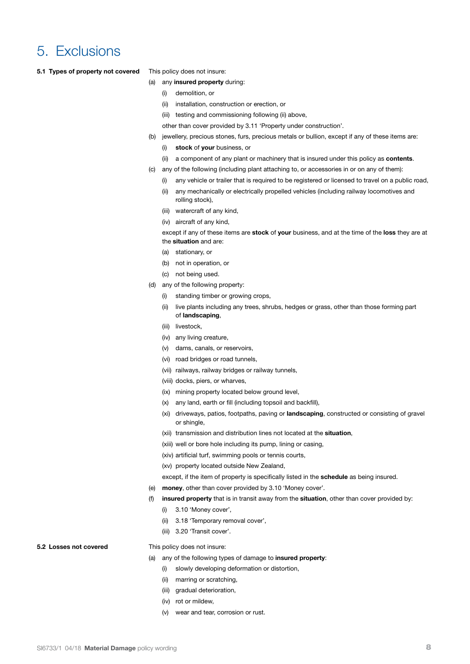### 5. Exclusions

**5.1 Types of property not covered** This policy does not insure:

- (a) any **insured property** during:
	- (i) demolition, or
	- (ii) installation, construction or erection, or
	- (iii) testing and commissioning following (ii) above,
	- other than cover provided by 3.11 'Property under construction'.
- (b) jewellery, precious stones, furs, precious metals or bullion, except if any of these items are:
	- (i) **stock** of **your** business, or
	- (ii) a component of any plant or machinery that is insured under this policy as **contents**.
- (c) any of the following (including plant attaching to, or accessories in or on any of them):
	- (i) any vehicle or trailer that is required to be registered or licensed to travel on a public road,
	- (ii) any mechanically or electrically propelled vehicles (including railway locomotives and rolling stock),
	- (iii) watercraft of any kind,
	- (iv) aircraft of any kind,

except if any of these items are **stock** of **your** business, and at the time of the **loss** they are at the **situation** and are:

- (a) stationary, or
- (b) not in operation, or
- (c) not being used.
- (d) any of the following property:
	- (i) standing timber or growing crops,
	- (ii) live plants including any trees, shrubs, hedges or grass, other than those forming part of **landscaping**,
	- (iii) livestock,
	- (iv) any living creature,
	- (v) dams, canals, or reservoirs,
	- (vi) road bridges or road tunnels,
	- (vii) railways, railway bridges or railway tunnels,
	- (viii) docks, piers, or wharves,
	- (ix) mining property located below ground level,
	- (x) any land, earth or fill (including topsoil and backfill),
	- (xi) driveways, patios, footpaths, paving or **landscaping**, constructed or consisting of gravel or shingle,
	- (xii) transmission and distribution lines not located at the **situation**,
	- (xiii) well or bore hole including its pump, lining or casing,
	- (xiv) artificial turf, swimming pools or tennis courts,
	- (xv) property located outside New Zealand,

except, if the item of property is specifically listed in the **schedule** as being insured.

- (e) **money**, other than cover provided by 3.10 'Money cover'.
- (f) **insured property** that is in transit away from the **situation**, other than cover provided by:
	- (i) 3.10 'Money cover',
	- (ii) 3.18 'Temporary removal cover',
	- (iii) 3.20 'Transit cover'.

### **5.2 Losses not covered** This policy does not insure:

- (a) any of the following types of damage to **insured property**:
	- (i) slowly developing deformation or distortion,
	- (ii) marring or scratching,
	- (iii) gradual deterioration,
	- (iv) rot or mildew,
	- (v) wear and tear, corrosion or rust.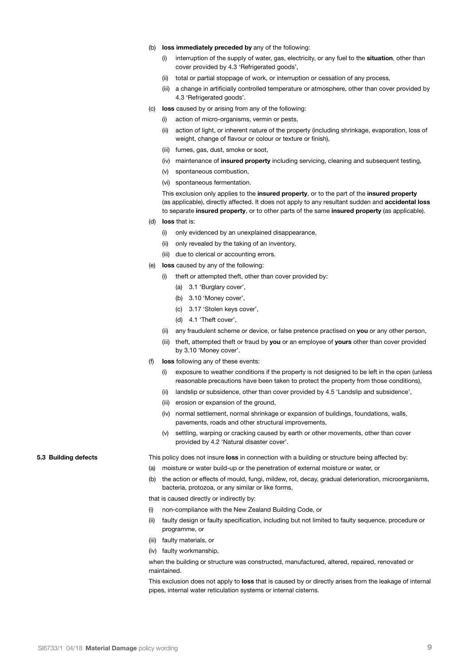- (b) **loss immediately preceded by** any of the following:
	- (i) interruption of the supply of water, gas, electricity, or any fuel to the **situation**, other than cover provided by 4.3 'Refrigerated goods',
	- (ii) total or partial stoppage of work, or interruption or cessation of any process,
	- (iii) a change in artificially controlled temperature or atmosphere, other than cover provided by 4.3 'Refrigerated goods'.
- (c) **loss** caused by or arising from any of the following:
	- (i) action of micro-organisms, vermin or pests,
	- (ii) action of light, or inherent nature of the property (including shrinkage, evaporation, loss of weight, change of flavour or colour or texture or finish),
	- (iii) fumes, gas, dust, smoke or soot,
	- (iv) maintenance of **insured property** including servicing, cleaning and subsequent testing,
	- (v) spontaneous combustion,
	- (vi) spontaneous fermentation.

This exclusion only applies to the **insured property**, or to the part of the **insured property** (as applicable), directly affected. It does not apply to any resultant sudden and **accidental loss**  to separate **insured property**, or to other parts of the same **insured property** (as applicable).

- (d) **loss** that is:
	- (i) only evidenced by an unexplained disappearance,
	- (ii) only revealed by the taking of an inventory,
	- (iii) due to clerical or accounting errors.
- (e) **loss** caused by any of the following:
	- (i) theft or attempted theft, other than cover provided by:
		- (a) 3.1 'Burglary cover',
		- (b) 3.10 'Money cover',
		- (c) 3.17 'Stolen keys cover',
		- (d) 4.1 'Theft cover',
	- (ii) any fraudulent scheme or device, or false pretence practised on **you** or any other person,
	- (iii) theft, attempted theft or fraud by **you** or an employee of **yours** other than cover provided by 3.10 'Money cover'.
- (f) **loss** following any of these events:
	- (i) exposure to weather conditions if the property is not designed to be left in the open (unless reasonable precautions have been taken to protect the property from those conditions),
	- (ii) landslip or subsidence, other than cover provided by 4.5 'Landslip and subsidence',
	- (iii) erosion or expansion of the ground,
	- (iv) normal settlement, normal shrinkage or expansion of buildings, foundations, walls, pavements, roads and other structural improvements,
	- (v) settling, warping or cracking caused by earth or other movements, other than cover provided by 4.2 'Natural disaster cover'.

**5.3 Building defects** This policy does not insure **loss** in connection with a building or structure being affected by:

- (a) moisture or water build-up or the penetration of external moisture or water, or
- (b) the action or effects of mould, fungi, mildew, rot, decay, gradual deterioration, microorganisms, bacteria, protozoa, or any similar or like forms,

that is caused directly or indirectly by:

- (i) non-compliance with the New Zealand Building Code, or
- (ii) faulty design or faulty specification, including but not limited to faulty sequence, procedure or programme, or
- (iii) faulty materials, or
- (iv) faulty workmanship,

when the building or structure was constructed, manufactured, altered, repaired, renovated or maintained.

This exclusion does not apply to **loss** that is caused by or directly arises from the leakage of internal pipes, internal water reticulation systems or internal cisterns.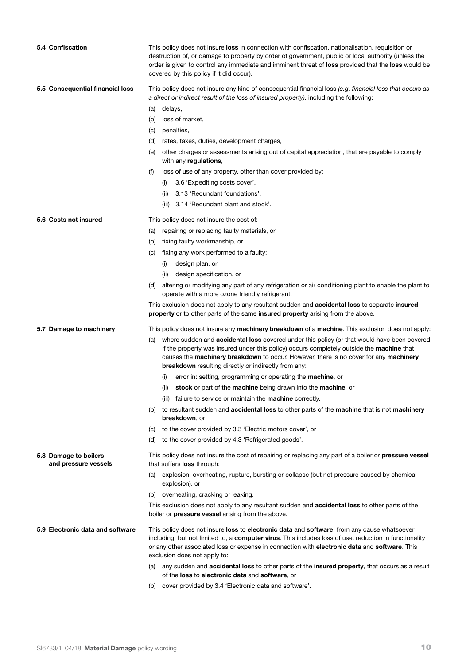| 5.4 Confiscation                              | This policy does not insure loss in connection with confiscation, nationalisation, requisition or<br>destruction of, or damage to property by order of government, public or local authority (unless the<br>order is given to control any immediate and imminent threat of loss provided that the loss would be<br>covered by this policy if it did occur).  |
|-----------------------------------------------|--------------------------------------------------------------------------------------------------------------------------------------------------------------------------------------------------------------------------------------------------------------------------------------------------------------------------------------------------------------|
| 5.5 Consequential financial loss              | This policy does not insure any kind of consequential financial loss (e.g. financial loss that occurs as                                                                                                                                                                                                                                                     |
|                                               | a direct or indirect result of the loss of insured property), including the following:                                                                                                                                                                                                                                                                       |
|                                               | (a) delays,                                                                                                                                                                                                                                                                                                                                                  |
|                                               | loss of market,<br>(b)                                                                                                                                                                                                                                                                                                                                       |
|                                               | penalties,<br>(C)                                                                                                                                                                                                                                                                                                                                            |
|                                               | rates, taxes, duties, development charges,<br>(d)                                                                                                                                                                                                                                                                                                            |
|                                               | other charges or assessments arising out of capital appreciation, that are payable to comply<br>(e)<br>with any regulations,                                                                                                                                                                                                                                 |
|                                               | (f)<br>loss of use of any property, other than cover provided by:                                                                                                                                                                                                                                                                                            |
|                                               | 3.6 'Expediting costs cover',<br>(i)                                                                                                                                                                                                                                                                                                                         |
|                                               | 3.13 'Redundant foundations',<br>(ii)                                                                                                                                                                                                                                                                                                                        |
|                                               | 3.14 'Redundant plant and stock'.<br>(iii)                                                                                                                                                                                                                                                                                                                   |
| 5.6 Costs not insured                         | This policy does not insure the cost of:                                                                                                                                                                                                                                                                                                                     |
|                                               | repairing or replacing faulty materials, or<br>(a)                                                                                                                                                                                                                                                                                                           |
|                                               | fixing faulty workmanship, or<br>(b)                                                                                                                                                                                                                                                                                                                         |
|                                               | fixing any work performed to a faulty:<br>(C)                                                                                                                                                                                                                                                                                                                |
|                                               | design plan, or<br>(i)                                                                                                                                                                                                                                                                                                                                       |
|                                               | (ii)<br>design specification, or                                                                                                                                                                                                                                                                                                                             |
|                                               | altering or modifying any part of any refrigeration or air conditioning plant to enable the plant to<br>(d)<br>operate with a more ozone friendly refrigerant.                                                                                                                                                                                               |
|                                               | This exclusion does not apply to any resultant sudden and <b>accidental loss</b> to separate insured<br>property or to other parts of the same insured property arising from the above.                                                                                                                                                                      |
| 5.7 Damage to machinery                       | This policy does not insure any machinery breakdown of a machine. This exclusion does not apply:                                                                                                                                                                                                                                                             |
|                                               | where sudden and <b>accidental loss</b> covered under this policy (or that would have been covered<br>(a)<br>if the property was insured under this policy) occurs completely outside the <b>machine</b> that                                                                                                                                                |
|                                               | causes the machinery breakdown to occur. However, there is no cover for any machinery                                                                                                                                                                                                                                                                        |
|                                               | breakdown resulting directly or indirectly from any:                                                                                                                                                                                                                                                                                                         |
|                                               | error in: setting, programming or operating the <b>machine</b> , or<br>(i)                                                                                                                                                                                                                                                                                   |
|                                               | stock or part of the machine being drawn into the machine, or<br>(ii)                                                                                                                                                                                                                                                                                        |
|                                               | (iii) failure to service or maintain the <b>machine</b> correctly.                                                                                                                                                                                                                                                                                           |
|                                               | to resultant sudden and <b>accidental loss</b> to other parts of the <b>machine</b> that is not <b>machinery</b><br>(b)<br>breakdown, or                                                                                                                                                                                                                     |
|                                               | to the cover provided by 3.3 'Electric motors cover', or<br>(C)                                                                                                                                                                                                                                                                                              |
|                                               | to the cover provided by 4.3 'Refrigerated goods'.<br>(d)                                                                                                                                                                                                                                                                                                    |
| 5.8 Damage to boilers<br>and pressure vessels | This policy does not insure the cost of repairing or replacing any part of a boiler or <b>pressure vessel</b><br>that suffers loss through:                                                                                                                                                                                                                  |
|                                               | explosion, overheating, rupture, bursting or collapse (but not pressure caused by chemical<br>(a)<br>explosion), or                                                                                                                                                                                                                                          |
|                                               | (b) overheating, cracking or leaking.                                                                                                                                                                                                                                                                                                                        |
|                                               | This exclusion does not apply to any resultant sudden and <b>accidental loss</b> to other parts of the<br>boiler or pressure vessel arising from the above.                                                                                                                                                                                                  |
| 5.9 Electronic data and software              | This policy does not insure <b>loss</b> to <b>electronic data</b> and <b>software</b> , from any cause whatsoever<br>including, but not limited to, a computer virus. This includes loss of use, reduction in functionality<br>or any other associated loss or expense in connection with electronic data and software. This<br>exclusion does not apply to: |
|                                               | any sudden and accidental loss to other parts of the insured property, that occurs as a result<br>(a)<br>of the loss to electronic data and software, or                                                                                                                                                                                                     |
|                                               | cover provided by 3.4 'Electronic data and software'.<br>(b)                                                                                                                                                                                                                                                                                                 |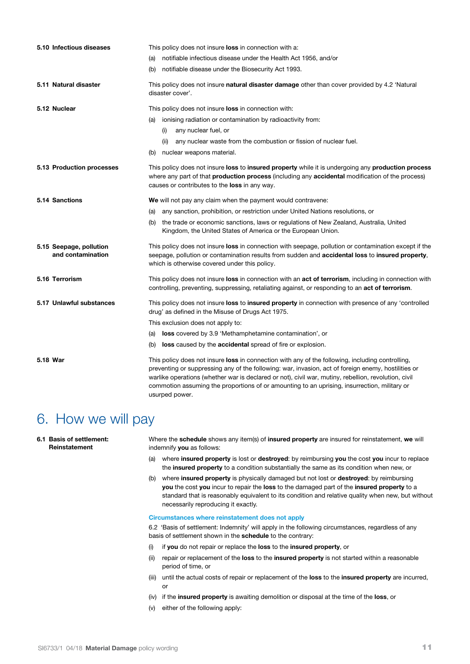| 5.10 Infectious diseases                     | This policy does not insure <b>loss</b> in connection with a:                                                                                                                                                                                                                                                                                                                                                                            |
|----------------------------------------------|------------------------------------------------------------------------------------------------------------------------------------------------------------------------------------------------------------------------------------------------------------------------------------------------------------------------------------------------------------------------------------------------------------------------------------------|
|                                              | notifiable infectious disease under the Health Act 1956, and/or<br>(a)                                                                                                                                                                                                                                                                                                                                                                   |
|                                              | notifiable disease under the Biosecurity Act 1993.<br>(b)                                                                                                                                                                                                                                                                                                                                                                                |
| 5.11 Natural disaster                        | This policy does not insure <b>natural disaster damage</b> other than cover provided by 4.2 'Natural<br>disaster cover'.                                                                                                                                                                                                                                                                                                                 |
| 5.12 Nuclear                                 | This policy does not insure loss in connection with:                                                                                                                                                                                                                                                                                                                                                                                     |
|                                              | ionising radiation or contamination by radioactivity from:<br>(a)                                                                                                                                                                                                                                                                                                                                                                        |
|                                              | any nuclear fuel, or<br>(i)                                                                                                                                                                                                                                                                                                                                                                                                              |
|                                              | any nuclear waste from the combustion or fission of nuclear fuel.<br>(ii)                                                                                                                                                                                                                                                                                                                                                                |
|                                              | nuclear weapons material.<br>(b)                                                                                                                                                                                                                                                                                                                                                                                                         |
| 5.13 Production processes                    | This policy does not insure loss to insured property while it is undergoing any production process<br>where any part of that <b>production process</b> (including any <b>accidental</b> modification of the process)<br>causes or contributes to the <b>loss</b> in any way.                                                                                                                                                             |
| 5.14 Sanctions                               | We will not pay any claim when the payment would contravene:                                                                                                                                                                                                                                                                                                                                                                             |
|                                              | any sanction, prohibition, or restriction under United Nations resolutions, or<br>(a)                                                                                                                                                                                                                                                                                                                                                    |
|                                              | the trade or economic sanctions, laws or regulations of New Zealand, Australia, United<br>(b)<br>Kingdom, the United States of America or the European Union.                                                                                                                                                                                                                                                                            |
| 5.15 Seepage, pollution<br>and contamination | This policy does not insure loss in connection with seepage, pollution or contamination except if the<br>seepage, pollution or contamination results from sudden and accidental loss to insured property,<br>which is otherwise covered under this policy.                                                                                                                                                                               |
| 5.16 Terrorism                               | This policy does not insure loss in connection with an act of terrorism, including in connection with<br>controlling, preventing, suppressing, retaliating against, or responding to an act of terrorism.                                                                                                                                                                                                                                |
| 5.17 Unlawful substances                     | This policy does not insure <b>loss to insured property</b> in connection with presence of any 'controlled<br>drug' as defined in the Misuse of Drugs Act 1975.                                                                                                                                                                                                                                                                          |
|                                              | This exclusion does not apply to:                                                                                                                                                                                                                                                                                                                                                                                                        |
|                                              | loss covered by 3.9 'Methamphetamine contamination', or<br>(a)                                                                                                                                                                                                                                                                                                                                                                           |
|                                              | <b>loss</b> caused by the <b>accidental</b> spread of fire or explosion.<br>(b)                                                                                                                                                                                                                                                                                                                                                          |
| 5.18 War                                     | This policy does not insure <b>loss</b> in connection with any of the following, including controlling,<br>preventing or suppressing any of the following: war, invasion, act of foreign enemy, hostilities or<br>warlike operations (whether war is declared or not), civil war, mutiny, rebellion, revolution, civil<br>commotion assuming the proportions of or amounting to an uprising, insurrection, military or<br>usurped power. |

### 6. How we will pay

**6.1 Basis of settlement: Reinstatement** indemnify **you** as follows:

Where the **schedule** shows any item(s) of **insured property** are insured for reinstatement, **we** will

- (a) where **insured property** is lost or **destroyed**: by reimbursing **you** the cost **you** incur to replace the **insured property** to a condition substantially the same as its condition when new, or
- (b) where **insured property** is physically damaged but not lost or **destroyed**: by reimbursing **you** the cost **you** incur to repair the **loss** to the damaged part of the **insured property** to a standard that is reasonably equivalent to its condition and relative quality when new, but without necessarily reproducing it exactly.

### **Circumstances where reinstatement does not apply**

6.2 'Basis of settlement: Indemnity' will apply in the following circumstances, regardless of any basis of settlement shown in the **schedule** to the contrary:

- (i) if **you** do not repair or replace the **loss** to the **insured property**, or
- (ii) repair or replacement of the **loss** to the **insured property** is not started within a reasonable period of time, or
- (iii) until the actual costs of repair or replacement of the **loss** to the **insured property** are incurred, or
- (iv) if the **insured property** is awaiting demolition or disposal at the time of the **loss**, or
- (v) either of the following apply: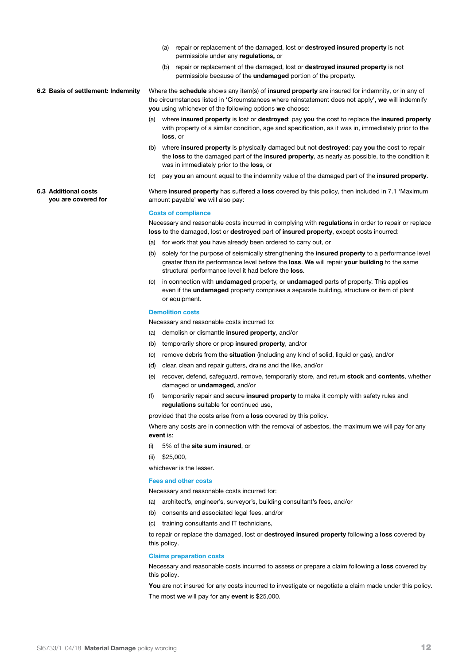- (a) repair or replacement of the damaged, lost or **destroyed insured property** is not permissible under any **regulations,** or
- (b) repair or replacement of the damaged, lost or **destroyed insured property** is not permissible because of the **undamaged** portion of the property.

**6.2 Basis of settlement: Indemnity** Where the **schedule** shows any item(s) of **insured property** are insured for indemnity, or in any of the circumstances listed in 'Circumstances where reinstatement does not apply', **we** will indemnify **you** using whichever of the following options **we** choose:

- (a) where **insured property** is lost or **destroyed**: pay **you** the cost to replace the **insured property**  with property of a similar condition, age and specification, as it was in, immediately prior to the **loss**, or
- (b) where **insured property** is physically damaged but not **destroyed**: pay **you** the cost to repair the **loss** to the damaged part of the **insured property**, as nearly as possible, to the condition it was in immediately prior to the **loss**, or
- (c) pay **you** an amount equal to the indemnity value of the damaged part of the **insured property**.

Where **insured property** has suffered a **loss** covered by this policy, then included in 7.1 'Maximum amount payable' **we** will also pay:

### **Costs of compliance**

**6.3 Additional costs you are covered for**

> Necessary and reasonable costs incurred in complying with **regulations** in order to repair or replace **loss** to the damaged, lost or **destroyed** part of **insured property**, except costs incurred:

- (a) for work that **you** have already been ordered to carry out, or
- (b) solely for the purpose of seismically strengthening the **insured property** to a performance level greater than its performance level before the **loss**. **We** will repair **your building** to the same structural performance level it had before the **loss**.
- (c) in connection with **undamaged** property, or **undamaged** parts of property. This applies even if the **undamaged** property comprises a separate building, structure or item of plant or equipment.

#### **Demolition costs**

Necessary and reasonable costs incurred to:

- (a) demolish or dismantle **insured property**, and/or
- (b) temporarily shore or prop **insured property**, and/or
- (c) remove debris from the **situation** (including any kind of solid, liquid or gas), and/or
- (d) clear, clean and repair gutters, drains and the like, and/or
- (e) recover, defend, safeguard, remove, temporarily store, and return **stock** and **contents**, whether damaged or **undamaged**, and/or
- (f) temporarily repair and secure **insured property** to make it comply with safety rules and **regulations** suitable for continued use,

provided that the costs arise from a **loss** covered by this policy.

Where any costs are in connection with the removal of asbestos, the maximum **we** will pay for any **event** is:

(i) 5% of the **site sum insured**, or

(ii) \$25,000,

whichever is the lesser.

### **Fees and other costs**

Necessary and reasonable costs incurred for:

- (a) architect's, engineer's, surveyor's, building consultant's fees, and/or
- (b) consents and associated legal fees, and/or
- (c) training consultants and IT technicians,

to repair or replace the damaged, lost or **destroyed insured property** following a **loss** covered by this policy.

#### **Claims preparation costs**

Necessary and reasonable costs incurred to assess or prepare a claim following a **loss** covered by this policy.

You are not insured for any costs incurred to investigate or negotiate a claim made under this policy. The most **we** will pay for any **event** is \$25,000.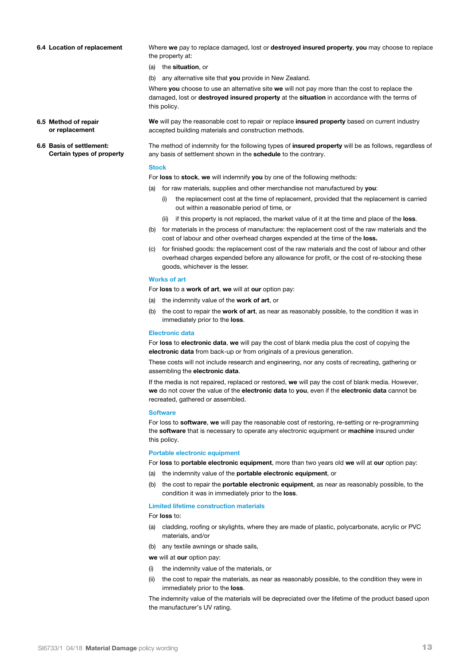**6.6 Basis of settlement:**

**Certain types of property**

**6.4 Location of replacement** Where **we** pay to replace damaged, lost or **destroyed insured property**, **you** may choose to replace the property at:

- (a) the **situation**, or
- (b) any alternative site that **you** provide in New Zealand.

Where **you** choose to use an alternative site **we** will not pay more than the cost to replace the damaged, lost or **destroyed insured property** at the **situation** in accordance with the terms of this policy.

**6.5 Method of repair or replacement We** will pay the reasonable cost to repair or replace **insured property** based on current industry accepted building materials and construction methods.

> The method of indemnity for the following types of **insured property** will be as follows, regardless of any basis of settlement shown in the **schedule** to the contrary.

#### **Stock**

For **loss** to **stock**, **we** will indemnify **you** by one of the following methods:

- (a) for raw materials, supplies and other merchandise not manufactured by **you**:
	- (i) the replacement cost at the time of replacement, provided that the replacement is carried out within a reasonable period of time, or
	- (ii) if this property is not replaced, the market value of it at the time and place of the **loss**.
- (b) for materials in the process of manufacture: the replacement cost of the raw materials and the cost of labour and other overhead charges expended at the time of the **loss.**
- (c) for finished goods: the replacement cost of the raw materials and the cost of labour and other overhead charges expended before any allowance for profit, or the cost of re-stocking these goods, whichever is the lesser.

#### **Works of art**

- For **loss** to a **work of art**, **we** will at **our** option pay:
- (a) the indemnity value of the **work of art**, or
- (b) the cost to repair the **work of art**, as near as reasonably possible, to the condition it was in immediately prior to the **loss**.

#### **Electronic data**

For **loss** to **electronic data**, **we** will pay the cost of blank media plus the cost of copying the **electronic data** from back-up or from originals of a previous generation.

These costs will not include research and engineering, nor any costs of recreating, gathering or assembling the **electronic data**.

If the media is not repaired, replaced or restored, **we** will pay the cost of blank media. However, **we** do not cover the value of the **electronic data** to **you**, even if the **electronic data** cannot be recreated, gathered or assembled.

#### **Software**

For loss to **software**, **we** will pay the reasonable cost of restoring, re-setting or re-programming the **software** that is necessary to operate any electronic equipment or **machine** insured under this policy.

#### **Portable electronic equipment**

For **loss** to **portable electronic equipment**, more than two years old **we** will at **our** option pay:

- (a) the indemnity value of the **portable electronic equipment**, or
- (b) the cost to repair the **portable electronic equipment**, as near as reasonably possible, to the condition it was in immediately prior to the **loss**.

#### **Limited lifetime construction materials**

For **loss** to:

- (a) cladding, roofing or skylights, where they are made of plastic, polycarbonate, acrylic or PVC materials, and/or
- (b) any textile awnings or shade sails,

**we** will at **our** option pay:

- (i) the indemnity value of the materials, or
- the cost to repair the materials, as near as reasonably possible, to the condition they were in immediately prior to the **loss**.

The indemnity value of the materials will be depreciated over the lifetime of the product based upon the manufacturer's UV rating.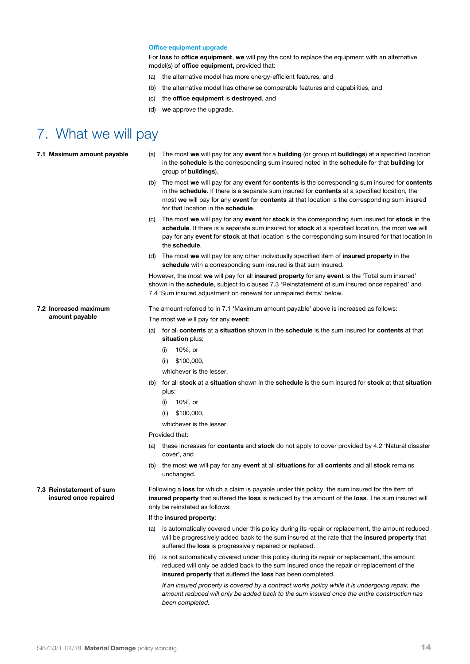### **Office equipment upgrade**

For **loss** to **office equipment**, **we** will pay the cost to replace the equipment with an alternative model(s) of **office equipment,** provided that:

- (a) the alternative model has more energy-efficient features, and
- (b) the alternative model has otherwise comparable features and capabilities, and
- (c) the **office equipment** is **destroyed**, and
- (d) **we** approve the upgrade.

### 7. What we will pay

| 7.1 Maximum amount payable                        | The most we will pay for any event for a building (or group of buildings) at a specified location<br>(a)<br>in the schedule is the corresponding sum insured noted in the schedule for that building (or<br>group of <b>buildings</b> ).                                                                                                                 |
|---------------------------------------------------|----------------------------------------------------------------------------------------------------------------------------------------------------------------------------------------------------------------------------------------------------------------------------------------------------------------------------------------------------------|
|                                                   | (b) The most we will pay for any event for contents is the corresponding sum insured for contents<br>in the <b>schedule</b> . If there is a separate sum insured for <b>contents</b> at a specified location, the<br>most we will pay for any event for contents at that location is the corresponding sum insured<br>for that location in the schedule. |
|                                                   | The most we will pay for any event for stock is the corresponding sum insured for stock in the<br>(C)<br>schedule. If there is a separate sum insured for stock at a specified location, the most we will<br>pay for any event for stock at that location is the corresponding sum insured for that location in<br>the schedule.                         |
|                                                   | The most we will pay for any other individually specified item of <b>insured property</b> in the<br>(d)<br>schedule with a corresponding sum insured is that sum insured.                                                                                                                                                                                |
|                                                   | However, the most we will pay for all insured property for any event is the 'Total sum insured'<br>shown in the <b>schedule</b> , subject to clauses 7.3 'Reinstatement of sum insured once repaired' and<br>7.4 'Sum insured adjustment on renewal for unrepaired items' below.                                                                         |
| 7.2 Increased maximum                             | The amount referred to in 7.1 'Maximum amount payable' above is increased as follows:                                                                                                                                                                                                                                                                    |
| amount payable                                    | The most we will pay for any event:                                                                                                                                                                                                                                                                                                                      |
|                                                   | (a) for all <b>contents</b> at a <b>situation</b> shown in the <b>schedule</b> is the sum insured for <b>contents</b> at that<br>situation plus:                                                                                                                                                                                                         |
|                                                   | 10%, or<br>(i)                                                                                                                                                                                                                                                                                                                                           |
|                                                   | (ii) $$100,000,$                                                                                                                                                                                                                                                                                                                                         |
|                                                   | whichever is the lesser.                                                                                                                                                                                                                                                                                                                                 |
|                                                   | for all stock at a situation shown in the schedule is the sum insured for stock at that situation<br>(b)<br>plus:                                                                                                                                                                                                                                        |
|                                                   | 10%, or<br>(i)                                                                                                                                                                                                                                                                                                                                           |
|                                                   | \$100,000,<br>(ii)                                                                                                                                                                                                                                                                                                                                       |
|                                                   | whichever is the lesser.                                                                                                                                                                                                                                                                                                                                 |
|                                                   | Provided that:                                                                                                                                                                                                                                                                                                                                           |
|                                                   | (a) these increases for <b>contents</b> and <b>stock</b> do not apply to cover provided by 4.2 'Natural disaster<br>cover', and                                                                                                                                                                                                                          |
|                                                   | (b) the most we will pay for any event at all situations for all contents and all stock remains<br>unchanged.                                                                                                                                                                                                                                            |
| 7.3 Reinstatement of sum<br>insured once repaired | Following a loss for which a claim is payable under this policy, the sum insured for the item of<br>insured property that suffered the loss is reduced by the amount of the loss. The sum insured will<br>only be reinstated as follows:                                                                                                                 |
|                                                   | If the insured property:                                                                                                                                                                                                                                                                                                                                 |
|                                                   | is automatically covered under this policy during its repair or replacement, the amount reduced<br>(a)<br>will be progressively added back to the sum insured at the rate that the <b>insured property</b> that<br>suffered the loss is progressively repaired or replaced.                                                                              |

(b) is not automatically covered under this policy during its repair or replacement, the amount reduced will only be added back to the sum insured once the repair or replacement of the **insured property** that suffered the **loss** has been completed.

*If an insured property is covered by a contract works policy while it is undergoing repair, the amount reduced will only be added back to the sum insured once the entire construction has been completed.*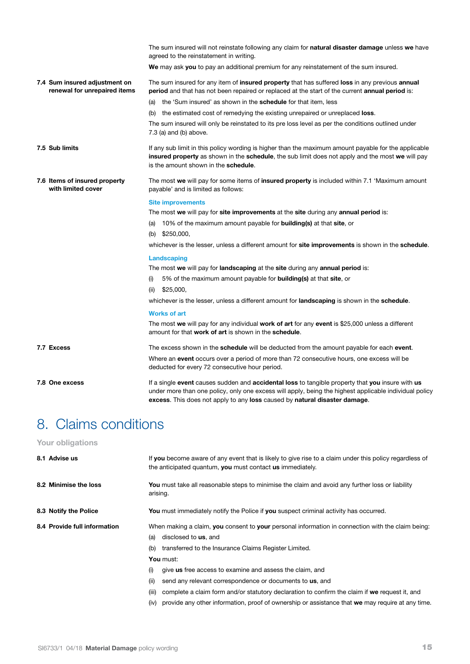| The sum insured will not reinstate following any claim for <b>natural disaster damage</b> unless we have<br>agreed to the reinstatement in writing.<br>We may ask you to pay an additional premium for any reinstatement of the sum insured.<br>The sum insured for any item of <b>insured property</b> that has suffered <b>loss</b> in any previous <b>annual</b><br>7.4 Sum insured adjustment on<br>renewal for unrepaired items<br>period and that has not been repaired or replaced at the start of the current annual period is:<br>(a) the 'Sum insured' as shown in the <b>schedule</b> for that item, less<br>(b) the estimated cost of remedying the existing unrepaired or unreplaced <b>loss</b> .<br>The sum insured will only be reinstated to its pre loss level as per the conditions outlined under<br>7.3 (a) and (b) above.<br>7.5 Sub limits<br>insured property as shown in the schedule, the sub limit does not apply and the most we will pay<br>is the amount shown in the schedule.<br>7.6 Items of insured property<br>The most we will pay for some items of insured property is included within 7.1 'Maximum amount<br>with limited cover<br>payable' and is limited as follows:<br><b>Site improvements</b><br>The most we will pay for site improvements at the site during any annual period is:<br>10% of the maximum amount payable for <b>building(s)</b> at that <b>site</b> , or<br>(a)<br>(b) $$250,000$ ,<br>Landscaping<br>The most we will pay for landscaping at the site during any annual period is:<br>5% of the maximum amount payable for <b>building(s)</b> at that <b>site</b> , or<br>(i)<br>\$25,000,<br>(ii)<br>whichever is the lesser, unless a different amount for <b>landscaping</b> is shown in the <b>schedule</b> .<br><b>Works of art</b><br>The most we will pay for any individual work of art for any event is \$25,000 unless a different<br>amount for that work of art is shown in the schedule.<br>7.7 Excess<br>The excess shown in the <b>schedule</b> will be deducted from the amount payable for each <b>event</b> .<br>Where an <b>event</b> occurs over a period of more than 72 consecutive hours, one excess will be<br>deducted for every 72 consecutive hour period.<br>7.8 One excess<br>If a single event causes sudden and accidental loss to tangible property that you insure with us<br>excess. This does not apply to any loss caused by natural disaster damage. |                                                                                                        |
|---------------------------------------------------------------------------------------------------------------------------------------------------------------------------------------------------------------------------------------------------------------------------------------------------------------------------------------------------------------------------------------------------------------------------------------------------------------------------------------------------------------------------------------------------------------------------------------------------------------------------------------------------------------------------------------------------------------------------------------------------------------------------------------------------------------------------------------------------------------------------------------------------------------------------------------------------------------------------------------------------------------------------------------------------------------------------------------------------------------------------------------------------------------------------------------------------------------------------------------------------------------------------------------------------------------------------------------------------------------------------------------------------------------------------------------------------------------------------------------------------------------------------------------------------------------------------------------------------------------------------------------------------------------------------------------------------------------------------------------------------------------------------------------------------------------------------------------------------------------------------------------------------------------------------------------------------------------------------------------------------------------------------------------------------------------------------------------------------------------------------------------------------------------------------------------------------------------------------------------------------------------------------------------------------------------------------------------------------------------------------------------------------------------------------------------------------------|--------------------------------------------------------------------------------------------------------|
|                                                                                                                                                                                                                                                                                                                                                                                                                                                                                                                                                                                                                                                                                                                                                                                                                                                                                                                                                                                                                                                                                                                                                                                                                                                                                                                                                                                                                                                                                                                                                                                                                                                                                                                                                                                                                                                                                                                                                                                                                                                                                                                                                                                                                                                                                                                                                                                                                                                         |                                                                                                        |
|                                                                                                                                                                                                                                                                                                                                                                                                                                                                                                                                                                                                                                                                                                                                                                                                                                                                                                                                                                                                                                                                                                                                                                                                                                                                                                                                                                                                                                                                                                                                                                                                                                                                                                                                                                                                                                                                                                                                                                                                                                                                                                                                                                                                                                                                                                                                                                                                                                                         |                                                                                                        |
|                                                                                                                                                                                                                                                                                                                                                                                                                                                                                                                                                                                                                                                                                                                                                                                                                                                                                                                                                                                                                                                                                                                                                                                                                                                                                                                                                                                                                                                                                                                                                                                                                                                                                                                                                                                                                                                                                                                                                                                                                                                                                                                                                                                                                                                                                                                                                                                                                                                         |                                                                                                        |
|                                                                                                                                                                                                                                                                                                                                                                                                                                                                                                                                                                                                                                                                                                                                                                                                                                                                                                                                                                                                                                                                                                                                                                                                                                                                                                                                                                                                                                                                                                                                                                                                                                                                                                                                                                                                                                                                                                                                                                                                                                                                                                                                                                                                                                                                                                                                                                                                                                                         |                                                                                                        |
|                                                                                                                                                                                                                                                                                                                                                                                                                                                                                                                                                                                                                                                                                                                                                                                                                                                                                                                                                                                                                                                                                                                                                                                                                                                                                                                                                                                                                                                                                                                                                                                                                                                                                                                                                                                                                                                                                                                                                                                                                                                                                                                                                                                                                                                                                                                                                                                                                                                         |                                                                                                        |
|                                                                                                                                                                                                                                                                                                                                                                                                                                                                                                                                                                                                                                                                                                                                                                                                                                                                                                                                                                                                                                                                                                                                                                                                                                                                                                                                                                                                                                                                                                                                                                                                                                                                                                                                                                                                                                                                                                                                                                                                                                                                                                                                                                                                                                                                                                                                                                                                                                                         |                                                                                                        |
|                                                                                                                                                                                                                                                                                                                                                                                                                                                                                                                                                                                                                                                                                                                                                                                                                                                                                                                                                                                                                                                                                                                                                                                                                                                                                                                                                                                                                                                                                                                                                                                                                                                                                                                                                                                                                                                                                                                                                                                                                                                                                                                                                                                                                                                                                                                                                                                                                                                         | If any sub limit in this policy wording is higher than the maximum amount payable for the applicable   |
|                                                                                                                                                                                                                                                                                                                                                                                                                                                                                                                                                                                                                                                                                                                                                                                                                                                                                                                                                                                                                                                                                                                                                                                                                                                                                                                                                                                                                                                                                                                                                                                                                                                                                                                                                                                                                                                                                                                                                                                                                                                                                                                                                                                                                                                                                                                                                                                                                                                         |                                                                                                        |
|                                                                                                                                                                                                                                                                                                                                                                                                                                                                                                                                                                                                                                                                                                                                                                                                                                                                                                                                                                                                                                                                                                                                                                                                                                                                                                                                                                                                                                                                                                                                                                                                                                                                                                                                                                                                                                                                                                                                                                                                                                                                                                                                                                                                                                                                                                                                                                                                                                                         |                                                                                                        |
|                                                                                                                                                                                                                                                                                                                                                                                                                                                                                                                                                                                                                                                                                                                                                                                                                                                                                                                                                                                                                                                                                                                                                                                                                                                                                                                                                                                                                                                                                                                                                                                                                                                                                                                                                                                                                                                                                                                                                                                                                                                                                                                                                                                                                                                                                                                                                                                                                                                         |                                                                                                        |
|                                                                                                                                                                                                                                                                                                                                                                                                                                                                                                                                                                                                                                                                                                                                                                                                                                                                                                                                                                                                                                                                                                                                                                                                                                                                                                                                                                                                                                                                                                                                                                                                                                                                                                                                                                                                                                                                                                                                                                                                                                                                                                                                                                                                                                                                                                                                                                                                                                                         |                                                                                                        |
|                                                                                                                                                                                                                                                                                                                                                                                                                                                                                                                                                                                                                                                                                                                                                                                                                                                                                                                                                                                                                                                                                                                                                                                                                                                                                                                                                                                                                                                                                                                                                                                                                                                                                                                                                                                                                                                                                                                                                                                                                                                                                                                                                                                                                                                                                                                                                                                                                                                         |                                                                                                        |
|                                                                                                                                                                                                                                                                                                                                                                                                                                                                                                                                                                                                                                                                                                                                                                                                                                                                                                                                                                                                                                                                                                                                                                                                                                                                                                                                                                                                                                                                                                                                                                                                                                                                                                                                                                                                                                                                                                                                                                                                                                                                                                                                                                                                                                                                                                                                                                                                                                                         | whichever is the lesser, unless a different amount for site improvements is shown in the schedule.     |
|                                                                                                                                                                                                                                                                                                                                                                                                                                                                                                                                                                                                                                                                                                                                                                                                                                                                                                                                                                                                                                                                                                                                                                                                                                                                                                                                                                                                                                                                                                                                                                                                                                                                                                                                                                                                                                                                                                                                                                                                                                                                                                                                                                                                                                                                                                                                                                                                                                                         |                                                                                                        |
|                                                                                                                                                                                                                                                                                                                                                                                                                                                                                                                                                                                                                                                                                                                                                                                                                                                                                                                                                                                                                                                                                                                                                                                                                                                                                                                                                                                                                                                                                                                                                                                                                                                                                                                                                                                                                                                                                                                                                                                                                                                                                                                                                                                                                                                                                                                                                                                                                                                         |                                                                                                        |
|                                                                                                                                                                                                                                                                                                                                                                                                                                                                                                                                                                                                                                                                                                                                                                                                                                                                                                                                                                                                                                                                                                                                                                                                                                                                                                                                                                                                                                                                                                                                                                                                                                                                                                                                                                                                                                                                                                                                                                                                                                                                                                                                                                                                                                                                                                                                                                                                                                                         |                                                                                                        |
|                                                                                                                                                                                                                                                                                                                                                                                                                                                                                                                                                                                                                                                                                                                                                                                                                                                                                                                                                                                                                                                                                                                                                                                                                                                                                                                                                                                                                                                                                                                                                                                                                                                                                                                                                                                                                                                                                                                                                                                                                                                                                                                                                                                                                                                                                                                                                                                                                                                         |                                                                                                        |
|                                                                                                                                                                                                                                                                                                                                                                                                                                                                                                                                                                                                                                                                                                                                                                                                                                                                                                                                                                                                                                                                                                                                                                                                                                                                                                                                                                                                                                                                                                                                                                                                                                                                                                                                                                                                                                                                                                                                                                                                                                                                                                                                                                                                                                                                                                                                                                                                                                                         |                                                                                                        |
|                                                                                                                                                                                                                                                                                                                                                                                                                                                                                                                                                                                                                                                                                                                                                                                                                                                                                                                                                                                                                                                                                                                                                                                                                                                                                                                                                                                                                                                                                                                                                                                                                                                                                                                                                                                                                                                                                                                                                                                                                                                                                                                                                                                                                                                                                                                                                                                                                                                         |                                                                                                        |
|                                                                                                                                                                                                                                                                                                                                                                                                                                                                                                                                                                                                                                                                                                                                                                                                                                                                                                                                                                                                                                                                                                                                                                                                                                                                                                                                                                                                                                                                                                                                                                                                                                                                                                                                                                                                                                                                                                                                                                                                                                                                                                                                                                                                                                                                                                                                                                                                                                                         |                                                                                                        |
|                                                                                                                                                                                                                                                                                                                                                                                                                                                                                                                                                                                                                                                                                                                                                                                                                                                                                                                                                                                                                                                                                                                                                                                                                                                                                                                                                                                                                                                                                                                                                                                                                                                                                                                                                                                                                                                                                                                                                                                                                                                                                                                                                                                                                                                                                                                                                                                                                                                         |                                                                                                        |
|                                                                                                                                                                                                                                                                                                                                                                                                                                                                                                                                                                                                                                                                                                                                                                                                                                                                                                                                                                                                                                                                                                                                                                                                                                                                                                                                                                                                                                                                                                                                                                                                                                                                                                                                                                                                                                                                                                                                                                                                                                                                                                                                                                                                                                                                                                                                                                                                                                                         |                                                                                                        |
|                                                                                                                                                                                                                                                                                                                                                                                                                                                                                                                                                                                                                                                                                                                                                                                                                                                                                                                                                                                                                                                                                                                                                                                                                                                                                                                                                                                                                                                                                                                                                                                                                                                                                                                                                                                                                                                                                                                                                                                                                                                                                                                                                                                                                                                                                                                                                                                                                                                         | under more than one policy, only one excess will apply, being the highest applicable individual policy |

# 8. Claims conditions

### **Your obligations**

| 8.1 Advise us                | If you become aware of any event that is likely to give rise to a claim under this policy regardless of<br>the anticipated quantum, you must contact us immediately. |
|------------------------------|----------------------------------------------------------------------------------------------------------------------------------------------------------------------|
| 8.2 Minimise the loss        | You must take all reasonable steps to minimise the claim and avoid any further loss or liability<br>arising.                                                         |
| 8.3 Notify the Police        | <b>You</b> must immediately notify the Police if you suspect criminal activity has occurred.                                                                         |
| 8.4 Provide full information | When making a claim, you consent to your personal information in connection with the claim being:                                                                    |
|                              | disclosed to <b>us</b> , and<br>(a)                                                                                                                                  |
|                              | transferred to the Insurance Claims Register Limited.<br>(b)                                                                                                         |
|                              | You must:                                                                                                                                                            |
|                              | give us free access to examine and assess the claim, and<br>(i)                                                                                                      |
|                              | send any relevant correspondence or documents to us, and<br>(ii)                                                                                                     |
|                              | complete a claim form and/or statutory declaration to confirm the claim if we request it, and<br>(iii)                                                               |
|                              | provide any other information, proof of ownership or assistance that we may require at any time.<br>(iv)                                                             |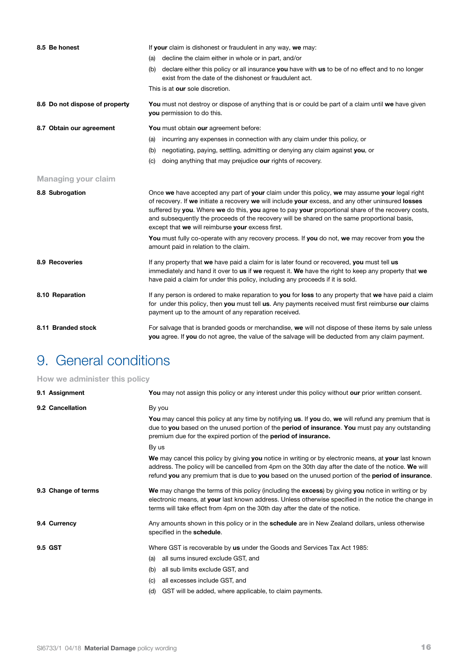| 8.5 Be honest                  | If your claim is dishonest or fraudulent in any way, we may:                                                                                                                                                                                                                                                                                                                                                                                                   |
|--------------------------------|----------------------------------------------------------------------------------------------------------------------------------------------------------------------------------------------------------------------------------------------------------------------------------------------------------------------------------------------------------------------------------------------------------------------------------------------------------------|
|                                | decline the claim either in whole or in part, and/or<br>(a)                                                                                                                                                                                                                                                                                                                                                                                                    |
|                                | (b) declare either this policy or all insurance you have with us to be of no effect and to no longer<br>exist from the date of the dishonest or fraudulent act.                                                                                                                                                                                                                                                                                                |
|                                | This is at our sole discretion.                                                                                                                                                                                                                                                                                                                                                                                                                                |
| 8.6 Do not dispose of property | You must not destroy or dispose of anything that is or could be part of a claim until we have given<br>you permission to do this.                                                                                                                                                                                                                                                                                                                              |
| 8.7 Obtain our agreement       | You must obtain our agreement before:                                                                                                                                                                                                                                                                                                                                                                                                                          |
|                                | incurring any expenses in connection with any claim under this policy, or<br>(a)                                                                                                                                                                                                                                                                                                                                                                               |
|                                | negotiating, paying, settling, admitting or denying any claim against you, or<br>(b)                                                                                                                                                                                                                                                                                                                                                                           |
|                                | doing anything that may prejudice our rights of recovery.<br>(C)                                                                                                                                                                                                                                                                                                                                                                                               |
| <b>Managing your claim</b>     |                                                                                                                                                                                                                                                                                                                                                                                                                                                                |
| 8.8 Subrogation                | Once we have accepted any part of your claim under this policy, we may assume your legal right<br>of recovery. If we initiate a recovery we will include your excess, and any other uninsured losses<br>suffered by you. Where we do this, you agree to pay your proportional share of the recovery costs,<br>and subsequently the proceeds of the recovery will be shared on the same proportional basis,<br>except that we will reimburse your excess first. |
|                                | You must fully co-operate with any recovery process. If you do not, we may recover from you the<br>amount paid in relation to the claim.                                                                                                                                                                                                                                                                                                                       |
| 8.9 Recoveries                 | If any property that we have paid a claim for is later found or recovered, you must tell us<br>immediately and hand it over to us if we request it. We have the right to keep any property that we<br>have paid a claim for under this policy, including any proceeds if it is sold.                                                                                                                                                                           |
| 8.10 Reparation                | If any person is ordered to make reparation to you for loss to any property that we have paid a claim<br>for under this policy, then you must tell us. Any payments received must first reimburse our claims<br>payment up to the amount of any reparation received.                                                                                                                                                                                           |
| 8.11 Branded stock             | For salvage that is branded goods or merchandise, we will not dispose of these items by sale unless<br>you agree. If you do not agree, the value of the salvage will be deducted from any claim payment.                                                                                                                                                                                                                                                       |
|                                |                                                                                                                                                                                                                                                                                                                                                                                                                                                                |

## 9. General conditions

### **How we administer this policy**

| 9.1 Assignment      | You may not assign this policy or any interest under this policy without our prior written consent.                                                                                                                                                                                                                        |
|---------------------|----------------------------------------------------------------------------------------------------------------------------------------------------------------------------------------------------------------------------------------------------------------------------------------------------------------------------|
| 9.2 Cancellation    | By you<br>You may cancel this policy at any time by notifying us. If you do, we will refund any premium that is<br>due to you based on the unused portion of the period of insurance. You must pay any outstanding<br>premium due for the expired portion of the <b>period of insurance.</b>                               |
|                     | By us<br>We may cancel this policy by giving you notice in writing or by electronic means, at your last known<br>address. The policy will be cancelled from 4pm on the 30th day after the date of the notice. We will<br>refund you any premium that is due to you based on the unused portion of the period of insurance. |
| 9.3 Change of terms | We may change the terms of this policy (including the excess) by giving you notice in writing or by<br>electronic means, at your last known address. Unless otherwise specified in the notice the change in<br>terms will take effect from 4pm on the 30th day after the date of the notice.                               |
| 9.4 Currency        | Any amounts shown in this policy or in the <b>schedule</b> are in New Zealand dollars, unless otherwise<br>specified in the schedule.                                                                                                                                                                                      |
| 9.5 GST             | Where GST is recoverable by us under the Goods and Services Tax Act 1985:<br>all sums insured exclude GST, and<br>(a)<br>all sub limits exclude GST, and<br>(b)<br>all excesses include GST, and<br>(C)<br>GST will be added, where applicable, to claim payments.<br>(d)                                                  |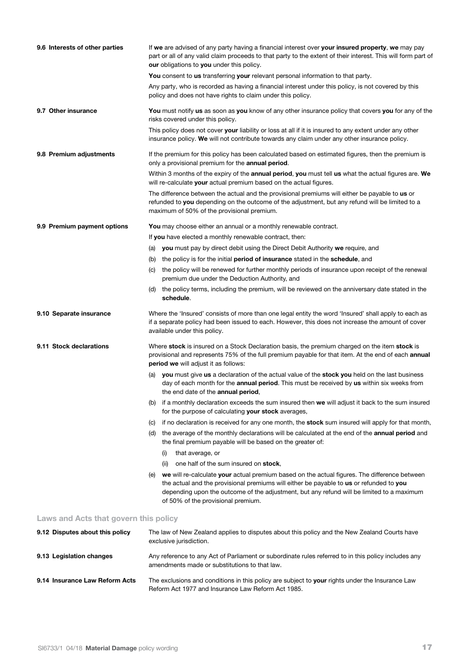| 9.6 Interests of other parties        | If we are advised of any party having a financial interest over your insured property, we may pay<br>part or all of any valid claim proceeds to that party to the extent of their interest. This will form part of<br>our obligations to you under this policy.                                                                   |
|---------------------------------------|-----------------------------------------------------------------------------------------------------------------------------------------------------------------------------------------------------------------------------------------------------------------------------------------------------------------------------------|
|                                       | You consent to us transferring your relevant personal information to that party.                                                                                                                                                                                                                                                  |
|                                       | Any party, who is recorded as having a financial interest under this policy, is not covered by this<br>policy and does not have rights to claim under this policy.                                                                                                                                                                |
| 9.7 Other insurance                   | You must notify us as soon as you know of any other insurance policy that covers you for any of the<br>risks covered under this policy.                                                                                                                                                                                           |
|                                       | This policy does not cover your liability or loss at all if it is insured to any extent under any other<br>insurance policy. We will not contribute towards any claim under any other insurance policy.                                                                                                                           |
| 9.8 Premium adjustments               | If the premium for this policy has been calculated based on estimated figures, then the premium is<br>only a provisional premium for the annual period.                                                                                                                                                                           |
|                                       | Within 3 months of the expiry of the <b>annual period, you</b> must tell us what the actual figures are. We<br>will re-calculate your actual premium based on the actual figures.                                                                                                                                                 |
|                                       | The difference between the actual and the provisional premiums will either be payable to us or<br>refunded to you depending on the outcome of the adjustment, but any refund will be limited to a<br>maximum of 50% of the provisional premium.                                                                                   |
| 9.9 Premium payment options           | You may choose either an annual or a monthly renewable contract.                                                                                                                                                                                                                                                                  |
|                                       | If you have elected a monthly renewable contract, then:                                                                                                                                                                                                                                                                           |
|                                       | (a) you must pay by direct debit using the Direct Debit Authority we require, and                                                                                                                                                                                                                                                 |
|                                       | the policy is for the initial period of insurance stated in the schedule, and<br>(b)                                                                                                                                                                                                                                              |
|                                       | the policy will be renewed for further monthly periods of insurance upon receipt of the renewal<br>(C)<br>premium due under the Deduction Authority, and                                                                                                                                                                          |
|                                       | (d) the policy terms, including the premium, will be reviewed on the anniversary date stated in the<br>schedule.                                                                                                                                                                                                                  |
| 9.10 Separate insurance               | Where the 'Insured' consists of more than one legal entity the word 'Insured' shall apply to each as<br>if a separate policy had been issued to each. However, this does not increase the amount of cover<br>available under this policy.                                                                                         |
| 9.11 Stock declarations               | Where stock is insured on a Stock Declaration basis, the premium charged on the item stock is<br>provisional and represents 75% of the full premium payable for that item. At the end of each annual<br><b>period we</b> will adjust it as follows:                                                                               |
|                                       | (a) you must give us a declaration of the actual value of the stock you held on the last business<br>day of each month for the annual period. This must be received by us within six weeks from<br>the end date of the annual period,                                                                                             |
|                                       | if a monthly declaration exceeds the sum insured then we will adjust it back to the sum insured<br>(D)<br>for the purpose of calculating your stock averages,                                                                                                                                                                     |
|                                       | if no declaration is received for any one month, the stock sum insured will apply for that month,<br>(C)                                                                                                                                                                                                                          |
|                                       | the average of the monthly declarations will be calculated at the end of the <b>annual period</b> and<br>(d)<br>the final premium payable will be based on the greater of:                                                                                                                                                        |
|                                       | that average, or<br>(i)                                                                                                                                                                                                                                                                                                           |
|                                       | one half of the sum insured on stock,<br>(ii)                                                                                                                                                                                                                                                                                     |
|                                       | we will re-calculate your actual premium based on the actual figures. The difference between<br>(e)<br>the actual and the provisional premiums will either be payable to us or refunded to you<br>depending upon the outcome of the adjustment, but any refund will be limited to a maximum<br>of 50% of the provisional premium. |
| Laws and Acts that govern this policy |                                                                                                                                                                                                                                                                                                                                   |
| 9.12 Disputes about this policy       | The law of New Zealand applies to disputes about this policy and the New Zealand Courts have<br>exclusive jurisdiction.                                                                                                                                                                                                           |

- **9.13 Legislation changes** Any reference to any Act of Parliament or subordinate rules referred to in this policy includes any amendments made or substitutions to that law.
- **9.14 Insurance Law Reform Acts** The exclusions and conditions in this policy are subject to **your** rights under the Insurance Law Reform Act 1977 and Insurance Law Reform Act 1985.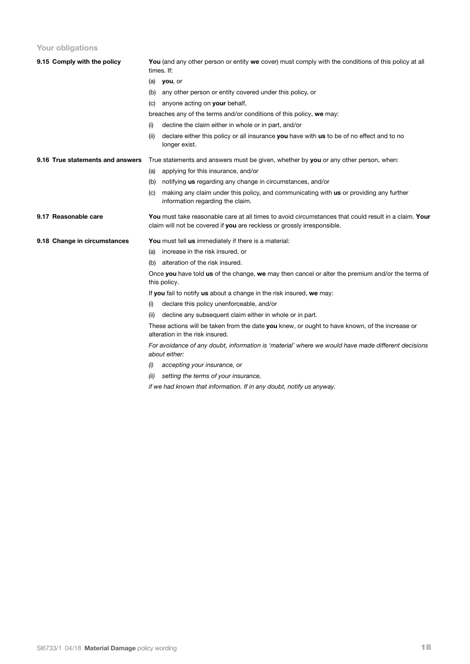### **Your obligations**

| 9.15 Comply with the policy      |                                                                                      | You (and any other person or entity we cover) must comply with the conditions of this policy at all<br>times. If:                                                               |  |  |
|----------------------------------|--------------------------------------------------------------------------------------|---------------------------------------------------------------------------------------------------------------------------------------------------------------------------------|--|--|
|                                  |                                                                                      | $(a)$ you, or                                                                                                                                                                   |  |  |
|                                  | (b)                                                                                  | any other person or entity covered under this policy, or                                                                                                                        |  |  |
|                                  | (c)                                                                                  | anyone acting on your behalf,                                                                                                                                                   |  |  |
|                                  | breaches any of the terms and/or conditions of this policy, we may:                  |                                                                                                                                                                                 |  |  |
|                                  | (i)                                                                                  | decline the claim either in whole or in part, and/or                                                                                                                            |  |  |
|                                  | (ii)                                                                                 | declare either this policy or all insurance you have with us to be of no effect and to no<br>longer exist.                                                                      |  |  |
| 9.16 True statements and answers | True statements and answers must be given, whether by you or any other person, when: |                                                                                                                                                                                 |  |  |
|                                  | (a)                                                                                  | applying for this insurance, and/or                                                                                                                                             |  |  |
|                                  | (b)                                                                                  | notifying us regarding any change in circumstances, and/or                                                                                                                      |  |  |
|                                  | (C)                                                                                  | making any claim under this policy, and communicating with us or providing any further<br>information regarding the claim.                                                      |  |  |
| 9.17 Reasonable care             |                                                                                      | You must take reasonable care at all times to avoid circumstances that could result in a claim. Your<br>claim will not be covered if you are reckless or grossly irresponsible. |  |  |
| 9.18 Change in circumstances     |                                                                                      | You must tell us immediately if there is a material:                                                                                                                            |  |  |
|                                  | (a)                                                                                  | increase in the risk insured, or                                                                                                                                                |  |  |
|                                  | (b)                                                                                  | alteration of the risk insured.                                                                                                                                                 |  |  |
|                                  |                                                                                      | Once you have told us of the change, we may then cancel or alter the premium and/or the terms of<br>this policy.                                                                |  |  |
|                                  |                                                                                      | If you fail to notify us about a change in the risk insured, we may:                                                                                                            |  |  |
|                                  | (i)                                                                                  | declare this policy unenforceable, and/or                                                                                                                                       |  |  |
|                                  | (ii)                                                                                 | decline any subsequent claim either in whole or in part.                                                                                                                        |  |  |
|                                  |                                                                                      | These actions will be taken from the date you knew, or ought to have known, of the increase or<br>alteration in the risk insured.                                               |  |  |
|                                  |                                                                                      | For avoidance of any doubt, information is 'material' where we would have made different decisions<br>about either:                                                             |  |  |
|                                  | (i)                                                                                  | accepting your insurance, or                                                                                                                                                    |  |  |
|                                  | (ii)                                                                                 | setting the terms of your insurance,                                                                                                                                            |  |  |
|                                  |                                                                                      | if we had known that information. If in any doubt, notify us anyway.                                                                                                            |  |  |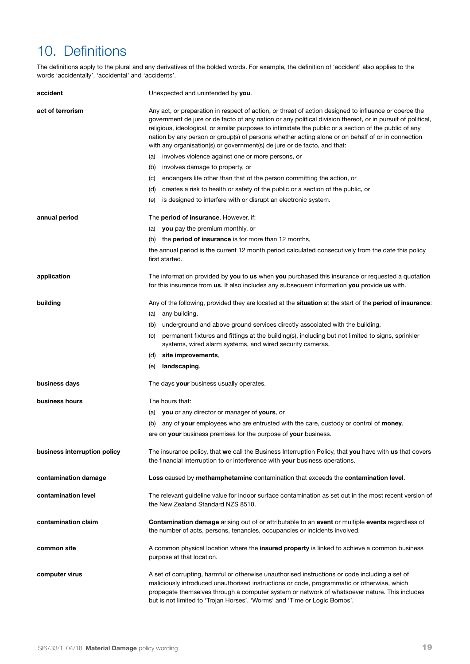# 10. Definitions

The definitions apply to the plural and any derivatives of the bolded words. For example, the definition of 'accident' also applies to the words 'accidentally', 'accidental' and 'accidents'.

| accident                     | Unexpected and unintended by you.                                                                                                                                                                                                                                                                                                                                                                                                                                                                               |  |
|------------------------------|-----------------------------------------------------------------------------------------------------------------------------------------------------------------------------------------------------------------------------------------------------------------------------------------------------------------------------------------------------------------------------------------------------------------------------------------------------------------------------------------------------------------|--|
| act of terrorism             | Any act, or preparation in respect of action, or threat of action designed to influence or coerce the<br>government de jure or de facto of any nation or any political division thereof, or in pursuit of political,<br>religious, ideological, or similar purposes to intimidate the public or a section of the public of any<br>nation by any person or group(s) of persons whether acting alone or on behalf of or in connection<br>with any organisation(s) or government(s) de jure or de facto, and that: |  |
|                              | (a) involves violence against one or more persons, or                                                                                                                                                                                                                                                                                                                                                                                                                                                           |  |
|                              | (b) involves damage to property, or                                                                                                                                                                                                                                                                                                                                                                                                                                                                             |  |
|                              | endangers life other than that of the person committing the action, or<br>(C)                                                                                                                                                                                                                                                                                                                                                                                                                                   |  |
|                              | (d) creates a risk to health or safety of the public or a section of the public, or                                                                                                                                                                                                                                                                                                                                                                                                                             |  |
|                              | is designed to interfere with or disrupt an electronic system.<br>(e)                                                                                                                                                                                                                                                                                                                                                                                                                                           |  |
| annual period                | The period of insurance. However, if:                                                                                                                                                                                                                                                                                                                                                                                                                                                                           |  |
|                              | (a) <b>you</b> pay the premium monthly, or                                                                                                                                                                                                                                                                                                                                                                                                                                                                      |  |
|                              | (b) the <b>period of insurance</b> is for more than 12 months,                                                                                                                                                                                                                                                                                                                                                                                                                                                  |  |
|                              | the annual period is the current 12 month period calculated consecutively from the date this policy<br>first started.                                                                                                                                                                                                                                                                                                                                                                                           |  |
| application                  | The information provided by <b>you</b> to <b>us</b> when <b>you</b> purchased this insurance or requested a quotation<br>for this insurance from us. It also includes any subsequent information you provide us with.                                                                                                                                                                                                                                                                                           |  |
| building                     | Any of the following, provided they are located at the <b>situation</b> at the start of the <b>period of insurance</b> :                                                                                                                                                                                                                                                                                                                                                                                        |  |
|                              | (a) any building,                                                                                                                                                                                                                                                                                                                                                                                                                                                                                               |  |
|                              | (b) underground and above ground services directly associated with the building,                                                                                                                                                                                                                                                                                                                                                                                                                                |  |
|                              | permanent fixtures and fittings at the building(s), including but not limited to signs, sprinkler<br>(C)<br>systems, wired alarm systems, and wired security cameras,                                                                                                                                                                                                                                                                                                                                           |  |
|                              | site improvements,<br>(d)                                                                                                                                                                                                                                                                                                                                                                                                                                                                                       |  |
|                              | landscaping.<br>(e)                                                                                                                                                                                                                                                                                                                                                                                                                                                                                             |  |
| business days                | The days your business usually operates.                                                                                                                                                                                                                                                                                                                                                                                                                                                                        |  |
| business hours               | The hours that:                                                                                                                                                                                                                                                                                                                                                                                                                                                                                                 |  |
|                              | (a) you or any director or manager of yours, or                                                                                                                                                                                                                                                                                                                                                                                                                                                                 |  |
|                              | any of your employees who are entrusted with the care, custody or control of money,<br>(b)                                                                                                                                                                                                                                                                                                                                                                                                                      |  |
|                              | are on your business premises for the purpose of your business.                                                                                                                                                                                                                                                                                                                                                                                                                                                 |  |
| business interruption policy | The insurance policy, that we call the Business Interruption Policy, that you have with us that covers<br>the financial interruption to or interference with your business operations.                                                                                                                                                                                                                                                                                                                          |  |
| contamination damage         | Loss caused by methamphetamine contamination that exceeds the contamination level.                                                                                                                                                                                                                                                                                                                                                                                                                              |  |
| contamination level          | The relevant guideline value for indoor surface contamination as set out in the most recent version of<br>the New Zealand Standard NZS 8510.                                                                                                                                                                                                                                                                                                                                                                    |  |
| contamination claim          | <b>Contamination damage</b> arising out of or attributable to an <b>event</b> or multiple <b>events</b> regardless of<br>the number of acts, persons, tenancies, occupancies or incidents involved.                                                                                                                                                                                                                                                                                                             |  |
| common site                  | A common physical location where the <b>insured property</b> is linked to achieve a common business<br>purpose at that location.                                                                                                                                                                                                                                                                                                                                                                                |  |
| computer virus               | A set of corrupting, harmful or otherwise unauthorised instructions or code including a set of<br>maliciously introduced unauthorised instructions or code, programmatic or otherwise, which<br>propagate themselves through a computer system or network of whatsoever nature. This includes<br>but is not limited to 'Trojan Horses', 'Worms' and 'Time or Logic Bombs'.                                                                                                                                      |  |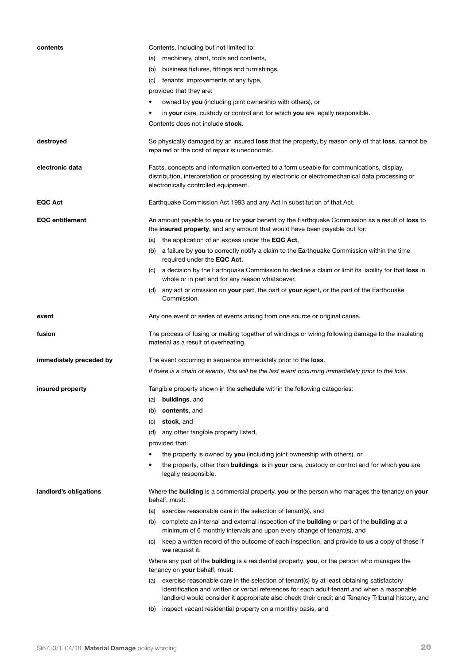| contents                | Contents, including but not limited to:                                                                                                                                                                                                                                                             |
|-------------------------|-----------------------------------------------------------------------------------------------------------------------------------------------------------------------------------------------------------------------------------------------------------------------------------------------------|
|                         | machinery, plant, tools and contents,<br>(a)                                                                                                                                                                                                                                                        |
|                         | business fixtures, fittings and furnishings,<br>(b)                                                                                                                                                                                                                                                 |
|                         | tenants' improvements of any type,<br>(C)                                                                                                                                                                                                                                                           |
|                         | provided that they are:                                                                                                                                                                                                                                                                             |
|                         | owned by you (including joint ownership with others), or                                                                                                                                                                                                                                            |
|                         | in your care, custody or control and for which you are legally responsible.                                                                                                                                                                                                                         |
|                         | Contents does not include stock.                                                                                                                                                                                                                                                                    |
| destroyed               | So physically damaged by an insured loss that the property, by reason only of that loss, cannot be<br>repaired or the cost of repair is uneconomic.                                                                                                                                                 |
| electronic data         | Facts, concepts and information converted to a form useable for communications, display,<br>distribution, interpretation or processing by electronic or electromechanical data processing or<br>electronically controlled equipment.                                                                |
| <b>EQC Act</b>          | Earthquake Commission Act 1993 and any Act in substitution of that Act.                                                                                                                                                                                                                             |
| <b>EQC</b> entitlement  | An amount payable to you or for your benefit by the Earthquake Commission as a result of loss to<br>the insured property; and any amount that would have been payable but for:                                                                                                                      |
|                         | the application of an excess under the EQC Act,<br>(a)                                                                                                                                                                                                                                              |
|                         | (b) a failure by you to correctly notify a claim to the Earthquake Commission within the time<br>required under the EQC Act,                                                                                                                                                                        |
|                         | (c) a decision by the Earthquake Commission to decline a claim or limit its liability for that loss in<br>whole or in part and for any reason whatsoever,                                                                                                                                           |
|                         | (d) any act or omission on your part, the part of your agent, or the part of the Earthquake<br>Commission.                                                                                                                                                                                          |
| event                   | Any one event or series of events arising from one source or original cause.                                                                                                                                                                                                                        |
| fusion                  | The process of fusing or melting together of windings or wiring following damage to the insulating<br>material as a result of overheating.                                                                                                                                                          |
| immediately preceded by | The event occurring in sequence immediately prior to the <b>loss</b> .<br>If there is a chain of events, this will be the last event occurring immediately prior to the loss.                                                                                                                       |
|                         |                                                                                                                                                                                                                                                                                                     |
| insured property        | Tangible property shown in the schedule within the following categories:                                                                                                                                                                                                                            |
|                         | buildings, and<br>(a)                                                                                                                                                                                                                                                                               |
|                         | contents, and<br>(b)                                                                                                                                                                                                                                                                                |
|                         | stock, and<br>(C)                                                                                                                                                                                                                                                                                   |
|                         | any other tangible property listed,<br>(d)                                                                                                                                                                                                                                                          |
|                         | provided that:                                                                                                                                                                                                                                                                                      |
|                         | the property is owned by you (including joint ownership with others), or                                                                                                                                                                                                                            |
|                         | the property, other than <b>buildings</b> , is in your care, custody or control and for which you are<br>$\bullet$<br>legally responsible.                                                                                                                                                          |
| landlord's obligations  | Where the building is a commercial property, you or the person who manages the tenancy on your<br>behalf, must:                                                                                                                                                                                     |
|                         | (a) exercise reasonable care in the selection of tenant(s), and                                                                                                                                                                                                                                     |
|                         |                                                                                                                                                                                                                                                                                                     |
|                         | complete an internal and external inspection of the <b>building</b> or part of the <b>building</b> at a<br>(b)<br>minimum of 6 monthly intervals and upon every change of tenant(s), and                                                                                                            |
|                         | keep a written record of the outcome of each inspection, and provide to us a copy of these if<br>(C)<br>we request it.                                                                                                                                                                              |
|                         | Where any part of the <b>building</b> is a residential property, you, or the person who manages the<br>tenancy on <b>your</b> behalf, must:                                                                                                                                                         |
|                         | exercise reasonable care in the selection of tenant(s) by at least obtaining satisfactory<br>(a)<br>identification and written or verbal references for each adult tenant and when a reasonable<br>landlord would consider it appropriate also check their credit and Tenancy Tribunal history, and |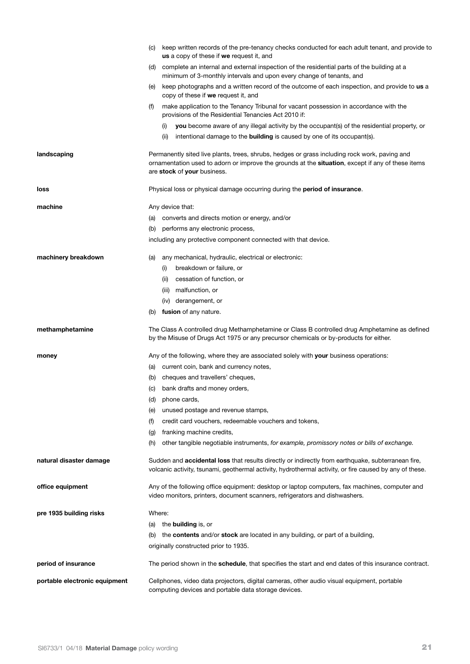|                               | (C) | keep written records of the pre-tenancy checks conducted for each adult tenant, and provide to<br>us a copy of these if we request it, and                                                                                        |
|-------------------------------|-----|-----------------------------------------------------------------------------------------------------------------------------------------------------------------------------------------------------------------------------------|
|                               | (d) | complete an internal and external inspection of the residential parts of the building at a<br>minimum of 3-monthly intervals and upon every change of tenants, and                                                                |
|                               | (e) | keep photographs and a written record of the outcome of each inspection, and provide to us a<br>copy of these if we request it, and                                                                                               |
|                               | (f) | make application to the Tenancy Tribunal for vacant possession in accordance with the<br>provisions of the Residential Tenancies Act 2010 if:                                                                                     |
|                               |     | you become aware of any illegal activity by the occupant(s) of the residential property, or<br>(i)<br>intentional damage to the <b>building</b> is caused by one of its occupant(s).<br>(iii)                                     |
| landscaping                   |     | Permanently sited live plants, trees, shrubs, hedges or grass including rock work, paving and<br>ornamentation used to adorn or improve the grounds at the situation, except if any of these items<br>are stock of your business. |
| loss                          |     | Physical loss or physical damage occurring during the <b>period of insurance</b> .                                                                                                                                                |
| machine                       |     | Any device that:                                                                                                                                                                                                                  |
|                               |     | (a) converts and directs motion or energy, and/or                                                                                                                                                                                 |
|                               |     | (b) performs any electronic process,                                                                                                                                                                                              |
|                               |     | including any protective component connected with that device.                                                                                                                                                                    |
|                               |     |                                                                                                                                                                                                                                   |
| machinery breakdown           | (a) | any mechanical, hydraulic, electrical or electronic:                                                                                                                                                                              |
|                               |     | breakdown or failure, or<br>(i)                                                                                                                                                                                                   |
|                               |     | cessation of function, or<br>(ii)                                                                                                                                                                                                 |
|                               |     | malfunction, or<br>(iii)                                                                                                                                                                                                          |
|                               |     | (iv) derangement, or                                                                                                                                                                                                              |
|                               | (b) | fusion of any nature.                                                                                                                                                                                                             |
| methamphetamine               |     | The Class A controlled drug Methamphetamine or Class B controlled drug Amphetamine as defined<br>by the Misuse of Drugs Act 1975 or any precursor chemicals or by-products for either.                                            |
| money                         |     | Any of the following, where they are associated solely with your business operations:                                                                                                                                             |
|                               |     | (a) current coin, bank and currency notes,                                                                                                                                                                                        |
|                               | (b) | cheques and travellers' cheques,                                                                                                                                                                                                  |
|                               | (C) | bank drafts and money orders,                                                                                                                                                                                                     |
|                               | (d) | phone cards,                                                                                                                                                                                                                      |
|                               | (e) | unused postage and revenue stamps,                                                                                                                                                                                                |
|                               | (f) | credit card vouchers, redeemable vouchers and tokens,                                                                                                                                                                             |
|                               | (g) | franking machine credits,                                                                                                                                                                                                         |
|                               | (h) | other tangible negotiable instruments, for example, promissory notes or bills of exchange.                                                                                                                                        |
| natural disaster damage       |     | Sudden and <b>accidental loss</b> that results directly or indirectly from earthquake, subterranean fire,<br>volcanic activity, tsunami, geothermal activity, hydrothermal activity, or fire caused by any of these.              |
| office equipment              |     | Any of the following office equipment: desktop or laptop computers, fax machines, computer and<br>video monitors, printers, document scanners, refrigerators and dishwashers.                                                     |
| pre 1935 building risks       |     | Where:                                                                                                                                                                                                                            |
|                               |     | (a) the <b>building</b> is, or                                                                                                                                                                                                    |
|                               | (b) | the <b>contents</b> and/or <b>stock</b> are located in any building, or part of a building,                                                                                                                                       |
|                               |     | originally constructed prior to 1935.                                                                                                                                                                                             |
| period of insurance           |     | The period shown in the <b>schedule</b> , that specifies the start and end dates of this insurance contract.                                                                                                                      |
| portable electronic equipment |     | Cellphones, video data projectors, digital cameras, other audio visual equipment, portable<br>computing devices and portable data storage devices.                                                                                |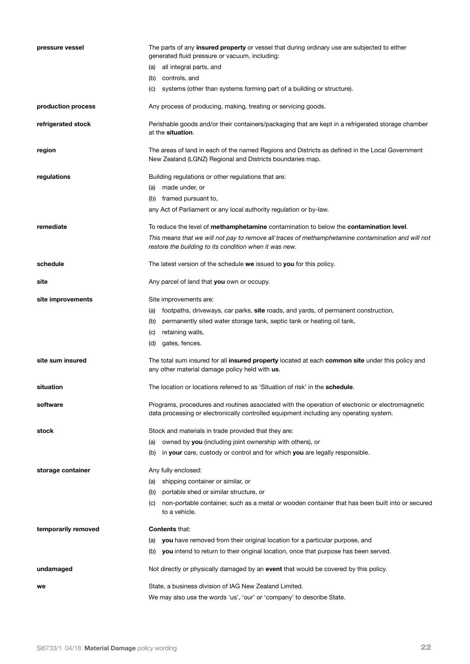| pressure vessel     | The parts of any <b>insured property</b> or vessel that during ordinary use are subjected to either<br>generated fluid pressure or vacuum, including:                                      |
|---------------------|--------------------------------------------------------------------------------------------------------------------------------------------------------------------------------------------|
|                     | all integral parts, and<br>(a)                                                                                                                                                             |
|                     | (b) controls, and                                                                                                                                                                          |
|                     | (c) systems (other than systems forming part of a building or structure).                                                                                                                  |
| production process  | Any process of producing, making, treating or servicing goods.                                                                                                                             |
| refrigerated stock  | Perishable goods and/or their containers/packaging that are kept in a refrigerated storage chamber<br>at the situation.                                                                    |
| region              | The areas of land in each of the named Regions and Districts as defined in the Local Government<br>New Zealand (LGNZ) Regional and Districts boundaries map.                               |
| regulations         | Building regulations or other regulations that are:                                                                                                                                        |
|                     | (a) made under, or                                                                                                                                                                         |
|                     | (b) framed pursuant to,                                                                                                                                                                    |
|                     | any Act of Parliament or any local authority regulation or by-law.                                                                                                                         |
| remediate           | To reduce the level of methamphetamine contamination to below the contamination level.                                                                                                     |
|                     | This means that we will not pay to remove all traces of methamphetamine contamination and will not<br>restore the building to its condition when it was new.                               |
| schedule            | The latest version of the schedule we issued to you for this policy.                                                                                                                       |
| site                | Any parcel of land that you own or occupy.                                                                                                                                                 |
| site improvements   | Site improvements are:                                                                                                                                                                     |
|                     | (a) footpaths, driveways, car parks, site roads, and yards, of permanent construction,                                                                                                     |
|                     | permanently sited water storage tank, septic tank or heating oil tank,<br>(b)                                                                                                              |
|                     | (c)<br>retaining walls,                                                                                                                                                                    |
|                     | gates, fences.<br>(d)                                                                                                                                                                      |
| site sum insured    | The total sum insured for all insured property located at each common site under this policy and<br>any other material damage policy held with us.                                         |
| situation           | The location or locations referred to as 'Situation of risk' in the <b>schedule</b> .                                                                                                      |
| software            | Programs, procedures and routines associated with the operation of electronic or electromagnetic<br>data processing or electronically controlled equipment including any operating system. |
| stock               | Stock and materials in trade provided that they are:                                                                                                                                       |
|                     | owned by you (including joint ownership with others), or<br>(a)                                                                                                                            |
|                     | in your care, custody or control and for which you are legally responsible.<br>(b)                                                                                                         |
| storage container   | Any fully enclosed:                                                                                                                                                                        |
|                     | shipping container or similar, or<br>(a)                                                                                                                                                   |
|                     | portable shed or similar structure, or<br>(b)                                                                                                                                              |
|                     | non-portable container, such as a metal or wooden container that has been built into or secured<br>(C)<br>to a vehicle.                                                                    |
| temporarily removed | <b>Contents that:</b>                                                                                                                                                                      |
|                     | you have removed from their original location for a particular purpose, and<br>(a)                                                                                                         |
|                     | (b) you intend to return to their original location, once that purpose has been served.                                                                                                    |
| undamaged           | Not directly or physically damaged by an event that would be covered by this policy.                                                                                                       |
| we                  | State, a business division of IAG New Zealand Limited.                                                                                                                                     |
|                     | We may also use the words 'us', 'our' or 'company' to describe State.                                                                                                                      |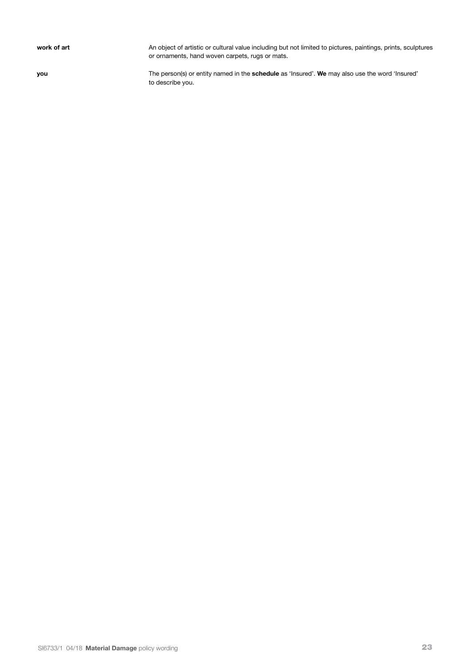work of art **An object of artistic or cultural value including but not limited to pictures, paintings, prints, sculptures** or ornaments, hand woven carpets, rugs or mats.

**you** The person(s) or entity named in the **schedule** as 'Insured'. We may also use the word 'Insured' to describe you.